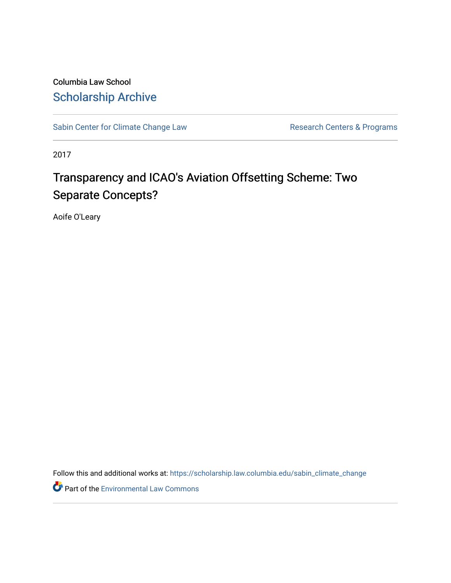Columbia Law School [Scholarship Archive](https://scholarship.law.columbia.edu/) 

[Sabin Center for Climate Change Law](https://scholarship.law.columbia.edu/sabin_climate_change) Research Centers & Programs

2017

## Transparency and ICAO's Aviation Offsetting Scheme: Two Separate Concepts?

Aoife O'Leary

Follow this and additional works at: [https://scholarship.law.columbia.edu/sabin\\_climate\\_change](https://scholarship.law.columbia.edu/sabin_climate_change?utm_source=scholarship.law.columbia.edu%2Fsabin_climate_change%2F89&utm_medium=PDF&utm_campaign=PDFCoverPages) 

Part of the [Environmental Law Commons](http://network.bepress.com/hgg/discipline/599?utm_source=scholarship.law.columbia.edu%2Fsabin_climate_change%2F89&utm_medium=PDF&utm_campaign=PDFCoverPages)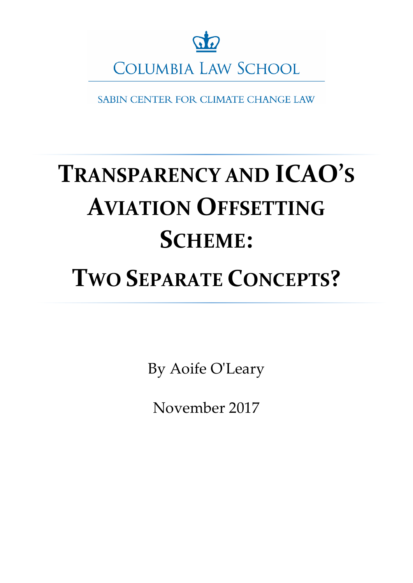

SABIN CENTER FOR CLIMATE CHANGE LAW

# **TRANSPARENCY AND ICAO'S AVIATION OFFSETTING SCHEME:**

## **TWO SEPARATE CONCEPTS?**

By Aoife O'Leary

November 2017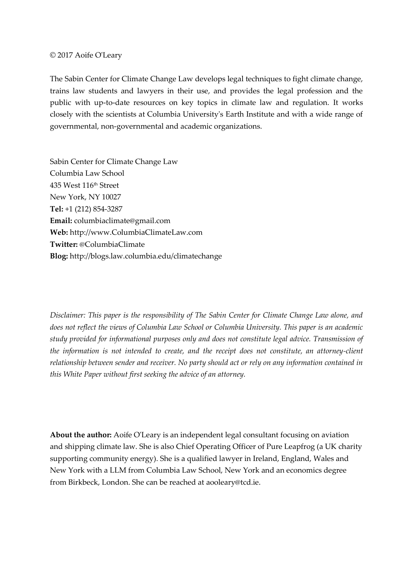#### © 2017 Aoife O'Leary

The Sabin Center for Climate Change Law develops legal techniques to fight climate change, trains law students and lawyers in their use, and provides the legal profession and the public with up-to-date resources on key topics in climate law and regulation. It works closely with the scientists at Columbia University's Earth Institute and with a wide range of governmental, non-governmental and academic organizations.

Sabin Center for Climate Change Law Columbia Law School 435 West 116th Street New York, NY 10027 **Tel:** +1 (212) 854-3287 **Email:** columbiaclimate@gmail.com **Web:** http://www.ColumbiaClimateLaw.com **Twitter:** @ColumbiaClimate **Blog:** http://blogs.law.columbia.edu/climatechange

*Disclaimer: This paper is the responsibility of The Sabin Center for Climate Change Law alone, and does not reflect the views of Columbia Law School or Columbia University. This paper is an academic study provided for informational purposes only and does not constitute legal advice. Transmission of the information is not intended to create, and the receipt does not constitute, an attorney-client relationship between sender and receiver. No party should act or rely on any information contained in this White Paper without first seeking the advice of an attorney.* 

**About the author:** Aoife O'Leary is an independent legal consultant focusing on aviation and shipping climate law. She is also Chief Operating Officer of Pure Leapfrog (a UK charity supporting community energy). She is a qualified lawyer in Ireland, England, Wales and New York with a LLM from Columbia Law School, New York and an economics degree from Birkbeck, London. She can be reached at aooleary@tcd.ie.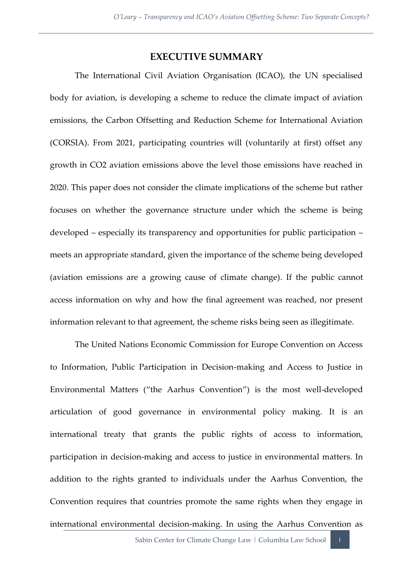#### **EXECUTIVE SUMMARY**

The International Civil Aviation Organisation (ICAO), the UN specialised body for aviation, is developing a scheme to reduce the climate impact of aviation emissions, the Carbon Offsetting and Reduction Scheme for International Aviation (CORSIA). From 2021, participating countries will (voluntarily at first) offset any growth in CO2 aviation emissions above the level those emissions have reached in 2020. This paper does not consider the climate implications of the scheme but rather focuses on whether the governance structure under which the scheme is being developed – especially its transparency and opportunities for public participation – meets an appropriate standard, given the importance of the scheme being developed (aviation emissions are a growing cause of climate change). If the public cannot access information on why and how the final agreement was reached, nor present information relevant to that agreement, the scheme risks being seen as illegitimate.

The United Nations Economic Commission for Europe Convention on Access to Information, Public Participation in Decision-making and Access to Justice in Environmental Matters ("the Aarhus Convention") is the most well-developed articulation of good governance in environmental policy making. It is an international treaty that grants the public rights of access to information, participation in decision-making and access to justice in environmental matters. In addition to the rights granted to individuals under the Aarhus Convention, the Convention requires that countries promote the same rights when they engage in international environmental decision-making. In using the Aarhus Convention as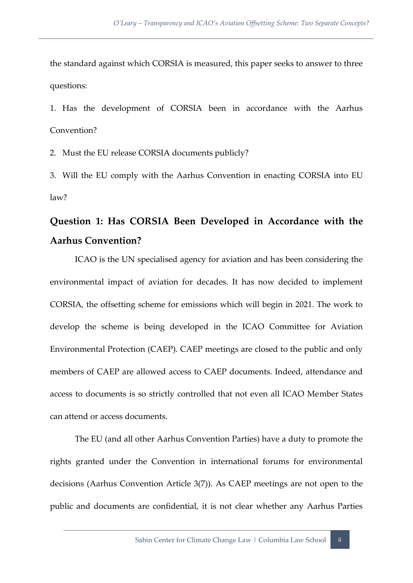the standard against which CORSIA is measured, this paper seeks to answer to three questions:

1. Has the development of CORSIA been in accordance with the Aarhus Convention?

2. Must the EU release CORSIA documents publicly?

3. Will the EU comply with the Aarhus Convention in enacting CORSIA into EU law?

## **Question 1: Has CORSIA Been Developed in Accordance with the Aarhus Convention?**

ICAO is the UN specialised agency for aviation and has been considering the environmental impact of aviation for decades. It has now decided to implement CORSIA, the offsetting scheme for emissions which will begin in 2021. The work to develop the scheme is being developed in the ICAO Committee for Aviation Environmental Protection (CAEP). CAEP meetings are closed to the public and only members of CAEP are allowed access to CAEP documents. Indeed, attendance and access to documents is so strictly controlled that not even all ICAO Member States can attend or access documents.

The EU (and all other Aarhus Convention Parties) have a duty to promote the rights granted under the Convention in international forums for environmental decisions (Aarhus Convention Article 3(7)). As CAEP meetings are not open to the public and documents are confidential, it is not clear whether any Aarhus Parties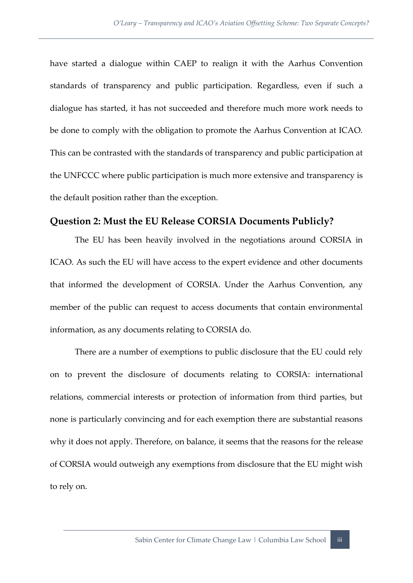have started a dialogue within CAEP to realign it with the Aarhus Convention standards of transparency and public participation. Regardless, even if such a dialogue has started, it has not succeeded and therefore much more work needs to be done to comply with the obligation to promote the Aarhus Convention at ICAO. This can be contrasted with the standards of transparency and public participation at the UNFCCC where public participation is much more extensive and transparency is the default position rather than the exception.

#### **Question 2: Must the EU Release CORSIA Documents Publicly?**

The EU has been heavily involved in the negotiations around CORSIA in ICAO. As such the EU will have access to the expert evidence and other documents that informed the development of CORSIA. Under the Aarhus Convention, any member of the public can request to access documents that contain environmental information, as any documents relating to CORSIA do.

There are a number of exemptions to public disclosure that the EU could rely on to prevent the disclosure of documents relating to CORSIA: international relations, commercial interests or protection of information from third parties, but none is particularly convincing and for each exemption there are substantial reasons why it does not apply. Therefore, on balance, it seems that the reasons for the release of CORSIA would outweigh any exemptions from disclosure that the EU might wish to rely on.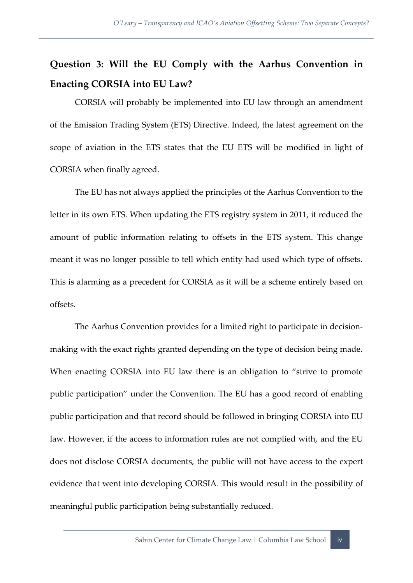## **Question 3: Will the EU Comply with the Aarhus Convention in Enacting CORSIA into EU Law?**

CORSIA will probably be implemented into EU law through an amendment of the Emission Trading System (ETS) Directive. Indeed, the latest agreement on the scope of aviation in the ETS states that the EU ETS will be modified in light of CORSIA when finally agreed.

The EU has not always applied the principles of the Aarhus Convention to the letter in its own ETS. When updating the ETS registry system in 2011, it reduced the amount of public information relating to offsets in the ETS system. This change meant it was no longer possible to tell which entity had used which type of offsets. This is alarming as a precedent for CORSIA as it will be a scheme entirely based on offsets.

The Aarhus Convention provides for a limited right to participate in decisionmaking with the exact rights granted depending on the type of decision being made. When enacting CORSIA into EU law there is an obligation to "strive to promote public participation" under the Convention. The EU has a good record of enabling public participation and that record should be followed in bringing CORSIA into EU law. However, if the access to information rules are not complied with, and the EU does not disclose CORSIA documents, the public will not have access to the expert evidence that went into developing CORSIA. This would result in the possibility of meaningful public participation being substantially reduced.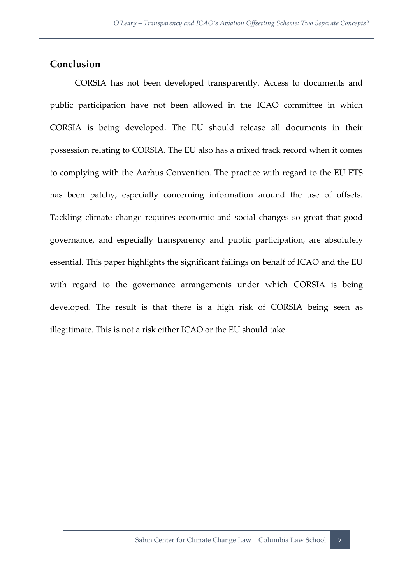#### **Conclusion**

CORSIA has not been developed transparently. Access to documents and public participation have not been allowed in the ICAO committee in which CORSIA is being developed. The EU should release all documents in their possession relating to CORSIA. The EU also has a mixed track record when it comes to complying with the Aarhus Convention. The practice with regard to the EU ETS has been patchy, especially concerning information around the use of offsets. Tackling climate change requires economic and social changes so great that good governance, and especially transparency and public participation, are absolutely essential. This paper highlights the significant failings on behalf of ICAO and the EU with regard to the governance arrangements under which CORSIA is being developed. The result is that there is a high risk of CORSIA being seen as illegitimate. This is not a risk either ICAO or the EU should take.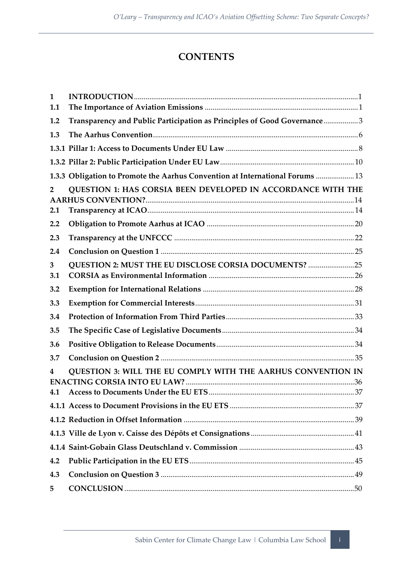#### **CONTENTS**

| $\mathbf{1}$<br>1.1 |                                                                               |  |
|---------------------|-------------------------------------------------------------------------------|--|
|                     |                                                                               |  |
| 1.2                 | Transparency and Public Participation as Principles of Good Governance3       |  |
| 1.3                 |                                                                               |  |
|                     |                                                                               |  |
|                     |                                                                               |  |
|                     | 1.3.3 Obligation to Promote the Aarhus Convention at International Forums  13 |  |
| $\overline{2}$      | QUESTION 1: HAS CORSIA BEEN DEVELOPED IN ACCORDANCE WITH THE                  |  |
| 2.1                 |                                                                               |  |
| 2.2                 |                                                                               |  |
| 2.3                 |                                                                               |  |
| 2.4                 |                                                                               |  |
| 3<br>3.1            | QUESTION 2: MUST THE EU DISCLOSE CORSIA DOCUMENTS? 25                         |  |
| 3.2                 |                                                                               |  |
| 3.3                 |                                                                               |  |
| 3.4                 |                                                                               |  |
| 3.5                 |                                                                               |  |
| 3.6                 |                                                                               |  |
| 3.7                 |                                                                               |  |
| 4                   | QUESTION 3: WILL THE EU COMPLY WITH THE AARHUS CONVENTION IN                  |  |
| 4.1                 |                                                                               |  |
|                     |                                                                               |  |
|                     |                                                                               |  |
|                     |                                                                               |  |
|                     |                                                                               |  |
| 4.2                 |                                                                               |  |
| 4.3                 |                                                                               |  |
| 5                   |                                                                               |  |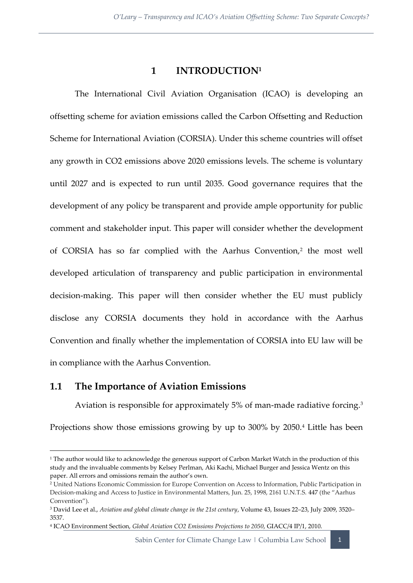#### **1 INTRODUCTION<sup>1</sup>**

<span id="page-9-0"></span>The International Civil Aviation Organisation (ICAO) is developing an offsetting scheme for aviation emissions called the Carbon Offsetting and Reduction Scheme for International Aviation (CORSIA). Under this scheme countries will offset any growth in CO2 emissions above 2020 emissions levels. The scheme is voluntary until 2027 and is expected to run until 2035. Good governance requires that the development of any policy be transparent and provide ample opportunity for public comment and stakeholder input. This paper will consider whether the development of CORSIA has so far complied with the Aarhus Convention,<sup>2</sup> the most well developed articulation of transparency and public participation in environmental decision-making. This paper will then consider whether the EU must publicly disclose any CORSIA documents they hold in accordance with the Aarhus Convention and finally whether the implementation of CORSIA into EU law will be in compliance with the Aarhus Convention.

#### <span id="page-9-1"></span>**1.1 The Importance of Aviation Emissions**

Aviation is responsible for approximately 5% of man-made radiative forcing.<sup>3</sup> Projections show those emissions growing by up to 300% by 2050.<sup>4</sup> Little has been

Sabin Center for Climate Change Law | Columbia Law School | 1

 $\overline{a}$ <sup>1</sup> The author would like to acknowledge the generous support of Carbon Market Watch in the production of this study and the invaluable comments by Kelsey Perlman, Aki Kachi, Michael Burger and Jessica Wentz on this paper. All errors and omissions remain the author's own.

<sup>2</sup> United Nations Economic Commission for Europe Convention on Access to Information, Public Participation in Decision-making and Access to Justice in Environmental Matters, Jun. 25, 1998, 2161 U.N.T.S. 447 (the "Aarhus Convention").

<sup>3</sup> David Lee et al., *Aviation and global climate change in the 21st century*, Volume 43, Issues 22–23, July 2009, 3520– 3537.

<sup>4</sup> ICAO Environment Section, *Global Aviation CO2 Emissions Projections to 2050*, GIACC/4 IP/1, 2010.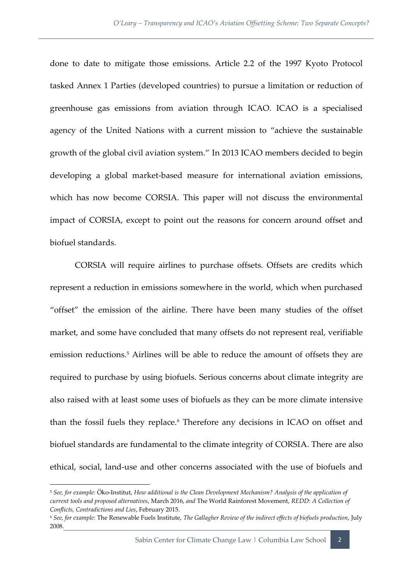done to date to mitigate those emissions. Article 2.2 of the 1997 Kyoto Protocol tasked Annex 1 Parties (developed countries) to pursue a limitation or reduction of greenhouse gas emissions from aviation through ICAO. ICAO is a specialised agency of the United Nations with a current mission to "achieve the sustainable growth of the global civil aviation system." In 2013 ICAO members decided to begin developing a global market-based measure for international aviation emissions, which has now become CORSIA. This paper will not discuss the environmental impact of CORSIA, except to point out the reasons for concern around offset and biofuel standards.

CORSIA will require airlines to purchase offsets. Offsets are credits which represent a reduction in emissions somewhere in the world, which when purchased "offset" the emission of the airline. There have been many studies of the offset market, and some have concluded that many offsets do not represent real, verifiable emission reductions.<sup>5</sup> Airlines will be able to reduce the amount of offsets they are required to purchase by using biofuels. Serious concerns about climate integrity are also raised with at least some uses of biofuels as they can be more climate intensive than the fossil fuels they replace.<sup>6</sup> Therefore any decisions in ICAO on offset and biofuel standards are fundamental to the climate integrity of CORSIA. There are also ethical, social, land-use and other concerns associated with the use of biofuels and

<sup>5</sup> *See, for example:* Öko-Institut, *How additional is the Clean Development Mechanism? Analysis of the application of current tools and proposed alternatives*, March 2016, *and* The World Rainforest Movement, *REDD: A Collection of Conflicts, Contradictions and Lies*, February 2015.

<sup>6</sup> *See, for example:* The Renewable Fuels Institute, *The Gallagher Review of the indirect effects of biofuels production*, July 2008.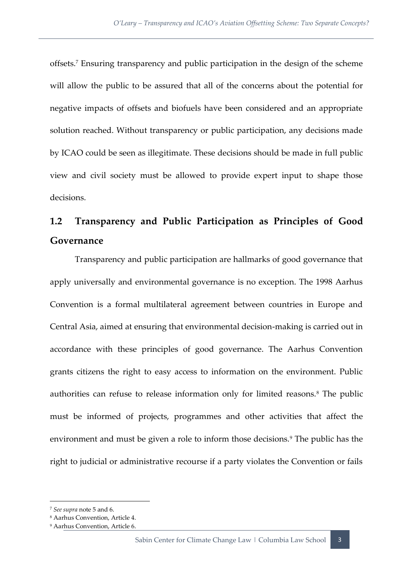offsets.<sup>7</sup> Ensuring transparency and public participation in the design of the scheme will allow the public to be assured that all of the concerns about the potential for negative impacts of offsets and biofuels have been considered and an appropriate solution reached. Without transparency or public participation, any decisions made by ICAO could be seen as illegitimate. These decisions should be made in full public view and civil society must be allowed to provide expert input to shape those decisions.

## <span id="page-11-0"></span>**1.2 Transparency and Public Participation as Principles of Good Governance**

Transparency and public participation are hallmarks of good governance that apply universally and environmental governance is no exception. The 1998 Aarhus Convention is a formal multilateral agreement between countries in Europe and Central Asia, aimed at ensuring that environmental decision-making is carried out in accordance with these principles of good governance. The Aarhus Convention grants citizens the right to easy access to information on the environment. Public authorities can refuse to release information only for limited reasons.<sup>8</sup> The public must be informed of projects, programmes and other activities that affect the environment and must be given a role to inform those decisions.<sup>9</sup> The public has the right to judicial or administrative recourse if a party violates the Convention or fails

<sup>7</sup> *See supra* note 5 and 6.

<sup>8</sup> Aarhus Convention, Article 4.

<sup>9</sup> Aarhus Convention, Article 6.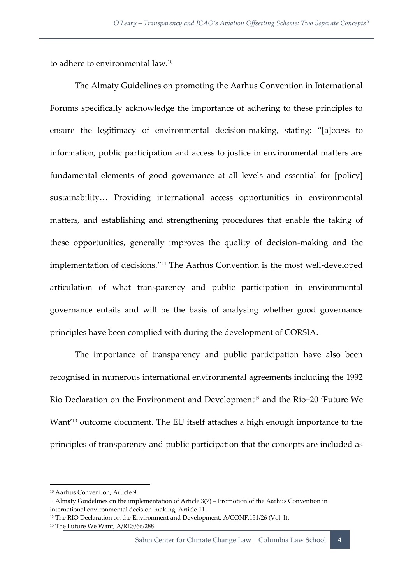to adhere to environmental law.<sup>10</sup>

The Almaty Guidelines on promoting the Aarhus Convention in International Forums specifically acknowledge the importance of adhering to these principles to ensure the legitimacy of environmental decision-making, stating: "[a]ccess to information, public participation and access to justice in environmental matters are fundamental elements of good governance at all levels and essential for [policy] sustainability… Providing international access opportunities in environmental matters, and establishing and strengthening procedures that enable the taking of these opportunities, generally improves the quality of decision-making and the implementation of decisions."<sup>11</sup> The Aarhus Convention is the most well-developed articulation of what transparency and public participation in environmental governance entails and will be the basis of analysing whether good governance principles have been complied with during the development of CORSIA.

The importance of transparency and public participation have also been recognised in numerous international environmental agreements including the 1992 Rio Declaration on the Environment and Development<sup>12</sup> and the Rio+20 'Future We Want<sup>'13</sup> outcome document. The EU itself attaches a high enough importance to the principles of transparency and public participation that the concepts are included as

**.** 

<sup>13</sup> The Future We Want, A/RES/66/288.

<sup>10</sup> Aarhus Convention, Article 9.

 $11$  Almaty Guidelines on the implementation of Article  $3(7)$  – Promotion of the Aarhus Convention in international environmental decision-making, Article 11.

<sup>&</sup>lt;sup>12</sup> The RIO Declaration on the Environment and Development, A/CONF.151/26 (Vol. I).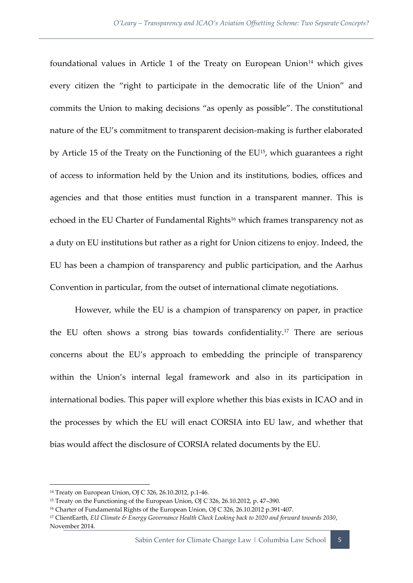foundational values in Article 1 of the Treaty on European Union $14$  which gives every citizen the "right to participate in the democratic life of the Union" and commits the Union to making decisions "as openly as possible". The constitutional nature of the EU's commitment to transparent decision-making is further elaborated by Article 15 of the Treaty on the Functioning of the EU<sup>15</sup>, which guarantees a right of access to information held by the Union and its institutions, bodies, offices and agencies and that those entities must function in a transparent manner. This is echoed in the EU Charter of Fundamental Rights<sup>16</sup> which frames transparency not as a duty on EU institutions but rather as a right for Union citizens to enjoy. Indeed, the EU has been a champion of transparency and public participation, and the Aarhus Convention in particular, from the outset of international climate negotiations.

However, while the EU is a champion of transparency on paper, in practice the EU often shows a strong bias towards confidentiality.<sup>17</sup> There are serious concerns about the EU's approach to embedding the principle of transparency within the Union's internal legal framework and also in its participation in international bodies. This paper will explore whether this bias exists in ICAO and in the processes by which the EU will enact CORSIA into EU law, and whether that bias would affect the disclosure of CORSIA related documents by the EU.

<sup>14</sup> Treaty on European Union, OJ C 326, 26.10.2012, p.1-46.

<sup>15</sup> Treaty on the Functioning of the European Union, OJ C 326, 26.10.2012, p. 47–390.

<sup>&</sup>lt;sup>16</sup> Charter of Fundamental Rights of the European Union, OJ C 326, 26.10.2012 p.391-407.

<sup>17</sup> ClientEarth, *EU Climate & Energy Governance Health Check Looking back to 2020 and forward towards 2030*, November 2014.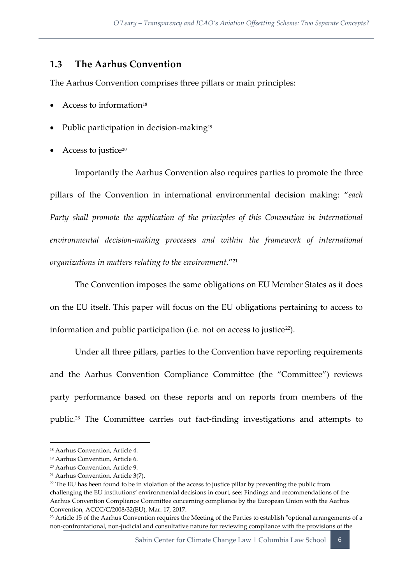#### <span id="page-14-0"></span>**1.3 The Aarhus Convention**

The Aarhus Convention comprises three pillars or main principles:

- Access to information<sup>18</sup>
- Public participation in decision-making<sup>19</sup>
- Access to justice<sup>20</sup>

Importantly the Aarhus Convention also requires parties to promote the three pillars of the Convention in international environmental decision making: "*each Party shall promote the application of the principles of this Convention in international environmental decision-making processes and within the framework of international organizations in matters relating to the environment*."<sup>21</sup>

The Convention imposes the same obligations on EU Member States as it does on the EU itself. This paper will focus on the EU obligations pertaining to access to information and public participation (i.e. not on access to justice<sup>22</sup>).

Under all three pillars, parties to the Convention have reporting requirements and the Aarhus Convention Compliance Committee (the "Committee") reviews party performance based on these reports and on reports from members of the public.<sup>23</sup> The Committee carries out fact-finding investigations and attempts to

<sup>18</sup> Aarhus Convention, Article 4.

<sup>19</sup> Aarhus Convention, Article 6.

<sup>20</sup> Aarhus Convention, Article 9.

<sup>21</sup> Aarhus Convention, Article 3(7).

<sup>&</sup>lt;sup>22</sup> The EU has been found to be in violation of the access to justice pillar by preventing the public from challenging the EU institutions' environmental decisions in court, see: Findings and recommendations of the Aarhus Convention Compliance Committee concerning compliance by the European Union with the Aarhus Convention, ACCC/C/2008/32(EU), Mar. 17, 2017.

<sup>&</sup>lt;sup>23</sup> Article 15 of the Aarhus Convention requires the Meeting of the Parties to establish "optional arrangements of a non-confrontational, non-judicial and consultative nature for reviewing compliance with the provisions of the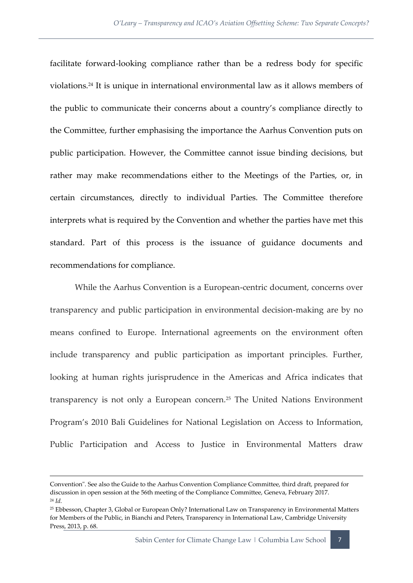facilitate forward-looking compliance rather than be a redress body for specific violations.<sup>24</sup> It is unique in international environmental law as it allows members of the public to communicate their concerns about a country's compliance directly to the Committee, further emphasising the importance the Aarhus Convention puts on public participation. However, the Committee cannot issue binding decisions, but rather may make recommendations either to the Meetings of the Parties, or, in certain circumstances, directly to individual Parties. The Committee therefore interprets what is required by the Convention and whether the parties have met this standard. Part of this process is the issuance of guidance documents and recommendations for compliance.

While the Aarhus Convention is a European-centric document, concerns over transparency and public participation in environmental decision-making are by no means confined to Europe. International agreements on the environment often include transparency and public participation as important principles. Further, looking at human rights jurisprudence in the Americas and Africa indicates that transparency is not only a European concern.<sup>25</sup> The United Nations Environment Program's 2010 Bali Guidelines for National Legislation on Access to Information, Public Participation and Access to Justice in Environmental Matters draw

 $\overline{a}$ 

Convention". See also the Guide to the Aarhus Convention Compliance Committee, third draft, prepared for discussion in open session at the 56th meeting of the Compliance Committee, Geneva, February 2017. <sup>24</sup> *Id.*

<sup>25</sup> Ebbesson, Chapter 3, Global or European Only? International Law on Transparency in Environmental Matters for Members of the Public, in Bianchi and Peters, Transparency in International Law, Cambridge University Press, 2013, p. 68.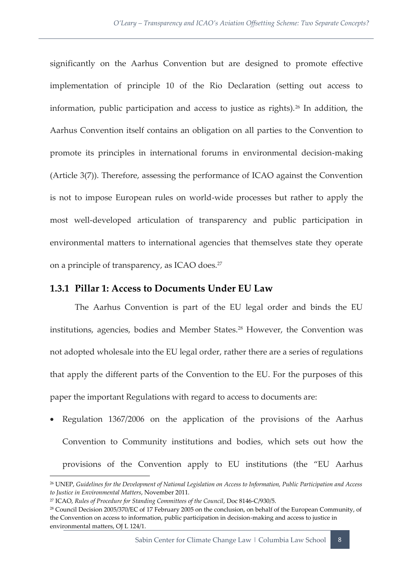significantly on the Aarhus Convention but are designed to promote effective implementation of principle 10 of the Rio Declaration (setting out access to information, public participation and access to justice as rights).<sup>26</sup> In addition, the Aarhus Convention itself contains an obligation on all parties to the Convention to promote its principles in international forums in environmental decision-making (Article 3(7)). Therefore, assessing the performance of ICAO against the Convention is not to impose European rules on world-wide processes but rather to apply the most well-developed articulation of transparency and public participation in environmental matters to international agencies that themselves state they operate on a principle of transparency, as ICAO does.<sup>27</sup>

#### <span id="page-16-0"></span>**1.3.1 Pillar 1: Access to Documents Under EU Law**

The Aarhus Convention is part of the EU legal order and binds the EU institutions, agencies, bodies and Member States.<sup>28</sup> However, the Convention was not adopted wholesale into the EU legal order, rather there are a series of regulations that apply the different parts of the Convention to the EU. For the purposes of this paper the important Regulations with regard to access to documents are:

 Regulation 1367/2006 on the application of the provisions of the Aarhus Convention to Community institutions and bodies, which sets out how the provisions of the Convention apply to EU institutions (the "EU Aarhus

 $\overline{a}$ 

<sup>26</sup> UNEP, *Guidelines for the Development of National Legislation on Access to Information, Public Participation and Access to Justice in Environmental Matters*, November 2011.

<sup>27</sup> ICAO, *Rules of Procedure for Standing Committees of the Council*, Doc 8146-C/930/5.

<sup>28</sup> Council Decision 2005/370/EC of 17 February 2005 on the conclusion, on behalf of the European Community, of the Convention on access to information, public participation in decision-making and access to justice in environmental matters, OJ L 124/1.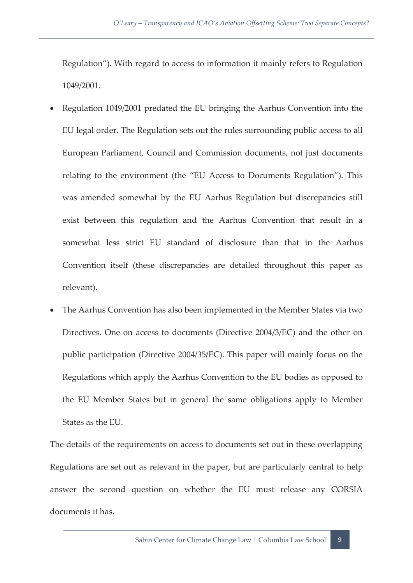Regulation"). With regard to access to information it mainly refers to Regulation 1049/2001.

- Regulation 1049/2001 predated the EU bringing the Aarhus Convention into the EU legal order. The Regulation sets out the rules surrounding public access to all European Parliament, Council and Commission documents, not just documents relating to the environment (the "EU Access to Documents Regulation"). This was amended somewhat by the EU Aarhus Regulation but discrepancies still exist between this regulation and the Aarhus Convention that result in a somewhat less strict EU standard of disclosure than that in the Aarhus Convention itself (these discrepancies are detailed throughout this paper as relevant).
- The Aarhus Convention has also been implemented in the Member States via two Directives. One on access to documents (Directive 2004/3/EC) and the other on public participation (Directive 2004/35/EC). This paper will mainly focus on the Regulations which apply the Aarhus Convention to the EU bodies as opposed to the EU Member States but in general the same obligations apply to Member States as the EU.

The details of the requirements on access to documents set out in these overlapping Regulations are set out as relevant in the paper, but are particularly central to help answer the second question on whether the EU must release any CORSIA documents it has.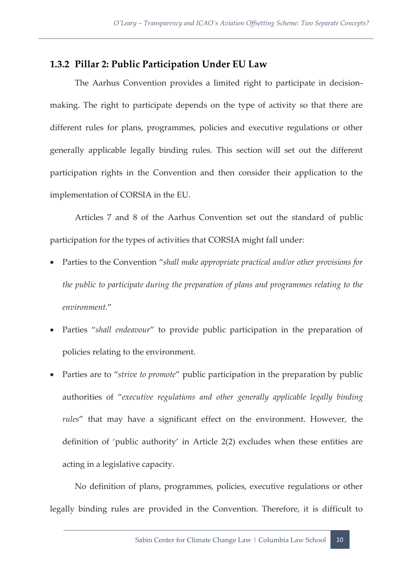#### <span id="page-18-0"></span>**1.3.2 Pillar 2: Public Participation Under EU Law**

The Aarhus Convention provides a limited right to participate in decisionmaking. The right to participate depends on the type of activity so that there are different rules for plans, programmes, policies and executive regulations or other generally applicable legally binding rules. This section will set out the different participation rights in the Convention and then consider their application to the implementation of CORSIA in the EU.

Articles 7 and 8 of the Aarhus Convention set out the standard of public participation for the types of activities that CORSIA might fall under:

- Parties to the Convention "*shall make appropriate practical and/or other provisions for the public to participate during the preparation of plans and programmes relating to the environment.*"
- Parties "*shall endeavour*" to provide public participation in the preparation of policies relating to the environment.
- Parties are to "*strive to promote*" public participation in the preparation by public authorities of "*executive regulations and other generally applicable legally binding rules*" that may have a significant effect on the environment. However, the definition of 'public authority' in Article 2(2) excludes when these entities are acting in a legislative capacity.

No definition of plans, programmes, policies, executive regulations or other legally binding rules are provided in the Convention. Therefore, it is difficult to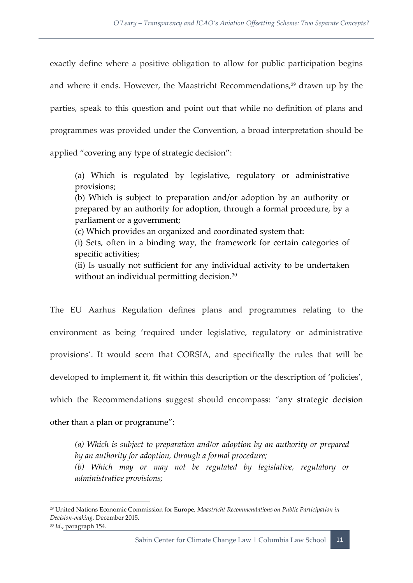exactly define where a positive obligation to allow for public participation begins and where it ends. However, the Maastricht Recommendations,<sup>29</sup> drawn up by the parties, speak to this question and point out that while no definition of plans and programmes was provided under the Convention, a broad interpretation should be applied "covering any type of strategic decision":

(a) Which is regulated by legislative, regulatory or administrative provisions;

(b) Which is subject to preparation and/or adoption by an authority or prepared by an authority for adoption, through a formal procedure, by a parliament or a government;

(c) Which provides an organized and coordinated system that:

(i) Sets, often in a binding way, the framework for certain categories of specific activities;

(ii) Is usually not sufficient for any individual activity to be undertaken without an individual permitting decision.<sup>30</sup>

The EU Aarhus Regulation defines plans and programmes relating to the environment as being 'required under legislative, regulatory or administrative provisions'. It would seem that CORSIA, and specifically the rules that will be developed to implement it, fit within this description or the description of 'policies', which the Recommendations suggest should encompass: *"*any strategic decision other than a plan or programme":

*(a) Which is subject to preparation and/or adoption by an authority or prepared by an authority for adoption, through a formal procedure; (b) Which may or may not be regulated by legislative, regulatory or* 

*administrative provisions;* 

<sup>29</sup> United Nations Economic Commission for Europe, *Maastricht Recommendations on Public Participation in Decision-making*, December 2015.

<sup>30</sup> *Id*., paragraph 154.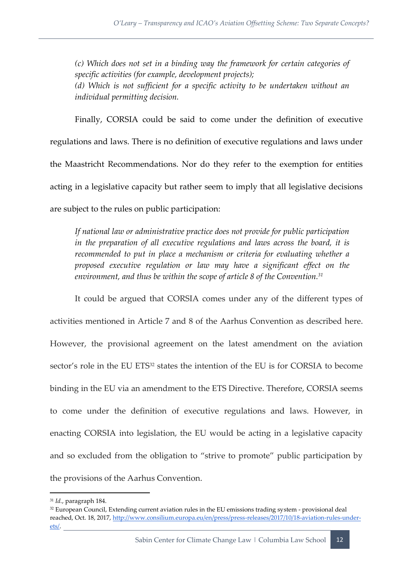*(c) Which does not set in a binding way the framework for certain categories of specific activities (for example, development projects); (d) Which is not sufficient for a specific activity to be undertaken without an individual permitting decision.*

Finally, CORSIA could be said to come under the definition of executive regulations and laws. There is no definition of executive regulations and laws under the Maastricht Recommendations. Nor do they refer to the exemption for entities acting in a legislative capacity but rather seem to imply that all legislative decisions are subject to the rules on public participation:

*If national law or administrative practice does not provide for public participation in the preparation of all executive regulations and laws across the board, it is recommended to put in place a mechanism or criteria for evaluating whether a proposed executive regulation or law may have a significant effect on the environment, and thus be within the scope of article 8 of the Convention.<sup>31</sup>*

It could be argued that CORSIA comes under any of the different types of activities mentioned in Article 7 and 8 of the Aarhus Convention as described here. However, the provisional agreement on the latest amendment on the aviation sector's role in the EU ETS<sup>32</sup> states the intention of the EU is for CORSIA to become binding in the EU via an amendment to the ETS Directive. Therefore, CORSIA seems to come under the definition of executive regulations and laws. However, in enacting CORSIA into legislation, the EU would be acting in a legislative capacity and so excluded from the obligation to "strive to promote" public participation by the provisions of the Aarhus Convention.

<sup>31</sup> *Id.*, paragraph 184.

<sup>&</sup>lt;sup>32</sup> European Council, Extending current aviation rules in the EU emissions trading system - provisional deal reached, Oct. 18, 2017[, http://www.consilium.europa.eu/en/press/press-releases/2017/10/18-aviation-rules-under](http://www.consilium.europa.eu/en/press/press-releases/2017/10/18-aviation-rules-under-ets/)[ets/.](http://www.consilium.europa.eu/en/press/press-releases/2017/10/18-aviation-rules-under-ets/)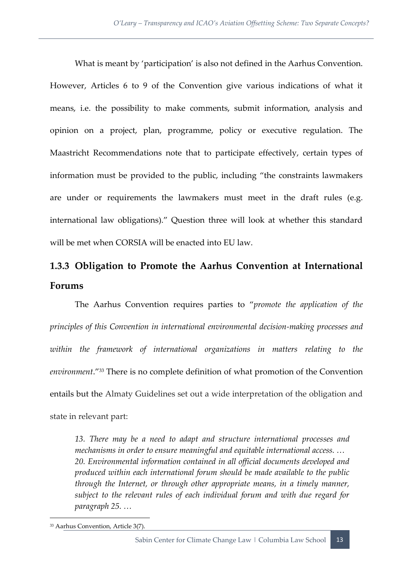What is meant by 'participation' is also not defined in the Aarhus Convention. However, Articles 6 to 9 of the Convention give various indications of what it means, i.e. the possibility to make comments, submit information, analysis and opinion on a project, plan, programme, policy or executive regulation. The Maastricht Recommendations note that to participate effectively, certain types of information must be provided to the public, including "the constraints lawmakers are under or requirements the lawmakers must meet in the draft rules (e.g. international law obligations)." Question three will look at whether this standard will be met when CORSIA will be enacted into EU law.

## <span id="page-21-0"></span>**1.3.3 Obligation to Promote the Aarhus Convention at International Forums**

The Aarhus Convention requires parties to "*promote the application of the principles of this Convention in international environmental decision-making processes and*  within the framework of international organizations in matters relating to the *environment*."<sup>33</sup> There is no complete definition of what promotion of the Convention entails but the Almaty Guidelines set out a wide interpretation of the obligation and state in relevant part:

*13. There may be a need to adapt and structure international processes and mechanisms in order to ensure meaningful and equitable international access. … 20. Environmental information contained in all official documents developed and produced within each international forum should be made available to the public through the Internet, or through other appropriate means, in a timely manner, subject to the relevant rules of each individual forum and with due regard for paragraph 25. …*

<sup>33</sup> Aarhus Convention, Article 3(7).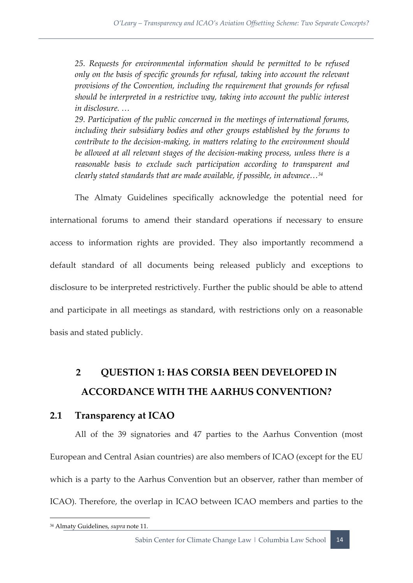25. Requests for environmental information should be permitted to be refused *only on the basis of specific grounds for refusal, taking into account the relevant provisions of the Convention, including the requirement that grounds for refusal should be interpreted in a restrictive way, taking into account the public interest in disclosure. …*

*29. Participation of the public concerned in the meetings of international forums, including their subsidiary bodies and other groups established by the forums to contribute to the decision-making, in matters relating to the environment should*  be allowed at all relevant stages of the decision-making process, unless there is a *reasonable basis to exclude such participation according to transparent and clearly stated standards that are made available, if possible, in advance…<sup>34</sup>*

The Almaty Guidelines specifically acknowledge the potential need for international forums to amend their standard operations if necessary to ensure access to information rights are provided. They also importantly recommend a default standard of all documents being released publicly and exceptions to disclosure to be interpreted restrictively. Further the public should be able to attend and participate in all meetings as standard, with restrictions only on a reasonable basis and stated publicly.

## <span id="page-22-0"></span>**2 QUESTION 1: HAS CORSIA BEEN DEVELOPED IN ACCORDANCE WITH THE AARHUS CONVENTION?**

#### <span id="page-22-1"></span>**2.1 Transparency at ICAO**

All of the 39 signatories and 47 parties to the Aarhus Convention (most European and Central Asian countries) are also members of ICAO (except for the EU which is a party to the Aarhus Convention but an observer, rather than member of ICAO). Therefore, the overlap in ICAO between ICAO members and parties to the

<sup>34</sup> Almaty Guidelines, *supra* note 11.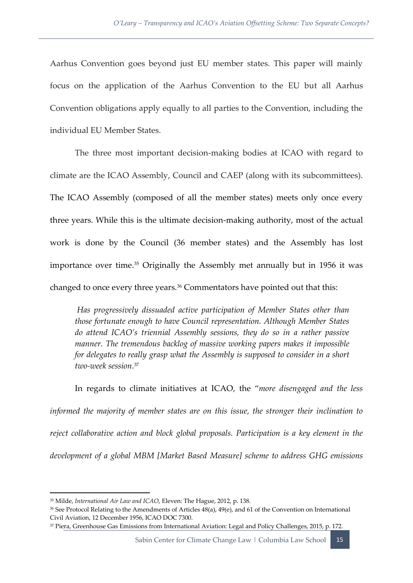Aarhus Convention goes beyond just EU member states. This paper will mainly focus on the application of the Aarhus Convention to the EU but all Aarhus Convention obligations apply equally to all parties to the Convention, including the individual EU Member States.

The three most important decision-making bodies at ICAO with regard to climate are the ICAO Assembly, Council and CAEP (along with its subcommittees). The ICAO Assembly (composed of all the member states) meets only once every three years. While this is the ultimate decision-making authority, most of the actual work is done by the Council (36 member states) and the Assembly has lost importance over time.<sup>35</sup> Originally the Assembly met annually but in 1956 it was changed to once every three years.<sup>36</sup> Commentators have pointed out that this:

*Has progressively dissuaded active participation of Member States other than those fortunate enough to have Council representation. Although Member States do attend ICAO's triennial Assembly sessions, they do so in a rather passive manner. The tremendous backlog of massive working papers makes it impossible for delegates to really grasp what the Assembly is supposed to consider in a short two-week session*. 37

In regards to climate initiatives at ICAO, the "*more disengaged and the less informed the majority of member states are on this issue, the stronger their inclination to reject collaborative action and block global proposals. Participation is a key element in the development of a global MBM [Market Based Measure] scheme to address GHG emissions* 

**.** 

<sup>37</sup> Piera, Greenhouse Gas Emissions from International Aviation: Legal and Policy Challenges, 2015, p. 172.

<sup>35</sup> Milde, *International Air Law and ICAO*, Eleven: The Hague, 2012, p. 138.

<sup>36</sup> See Protocol Relating to the Amendments of Articles 48(a), 49(e), and 61 of the Convention on International Civil Aviation, 12 December 1956, ICAO DOC 7300.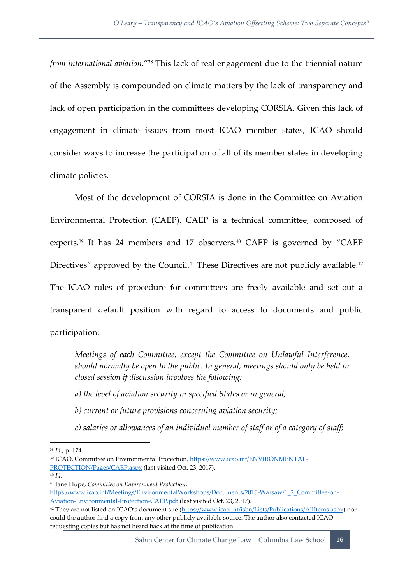*from international aviation*."<sup>38</sup> This lack of real engagement due to the triennial nature of the Assembly is compounded on climate matters by the lack of transparency and lack of open participation in the committees developing CORSIA. Given this lack of engagement in climate issues from most ICAO member states, ICAO should consider ways to increase the participation of all of its member states in developing climate policies.

Most of the development of CORSIA is done in the Committee on Aviation Environmental Protection (CAEP). CAEP is a technical committee, composed of experts.<sup>39</sup> It has 24 members and 17 observers.<sup>40</sup> CAEP is governed by "CAEP Directives" approved by the Council.<sup>41</sup> These Directives are not publicly available.<sup>42</sup> The ICAO rules of procedure for committees are freely available and set out a transparent default position with regard to access to documents and public participation:

*Meetings of each Committee, except the Committee on Unlawful Interference, should normally be open to the public. In general, meetings should only be held in closed session if discussion involves the following:* 

*a) the level of aviation security in specified States or in general;* 

*b) current or future provisions concerning aviation security;* 

*c) salaries or allowances of an individual member of staff or of a category of staff;* 

<sup>40</sup> *Id.*

<sup>38</sup> *Id*., p. 174.

<sup>39</sup> ICAO, Committee on Environmental Protection, [https://www.icao.int/ENVIRONMENTAL-](https://www.icao.int/ENVIRONMENTAL-PROTECTION/Pages/CAEP.aspx)[PROTECTION/Pages/CAEP.aspx](https://www.icao.int/ENVIRONMENTAL-PROTECTION/Pages/CAEP.aspx) (last visited Oct. 23, 2017).

<sup>41</sup> Jane Hupe, *Committee on Environment Protection*,

[https://www.icao.int/Meetings/EnvironmentalWorkshops/Documents/2015-Warsaw/1\\_2\\_Committee-on-](https://www.icao.int/Meetings/EnvironmentalWorkshops/Documents/2015-Warsaw/1_2_Committee-on-Aviation-Environmental-Protection-CAEP.pdf)[Aviation-Environmental-Protection-CAEP.pdf](https://www.icao.int/Meetings/EnvironmentalWorkshops/Documents/2015-Warsaw/1_2_Committee-on-Aviation-Environmental-Protection-CAEP.pdf) (last visited Oct. 23, 2017).

<sup>42</sup> They are not listed on ICAO's document site ([https://www.icao.int/isbn/Lists/Publications/AllItems.aspx\)](https://www.icao.int/isbn/Lists/Publications/AllItems.aspx) nor could the author find a copy from any other publicly available source. The author also contacted ICAO requesting copies but has not heard back at the time of publication.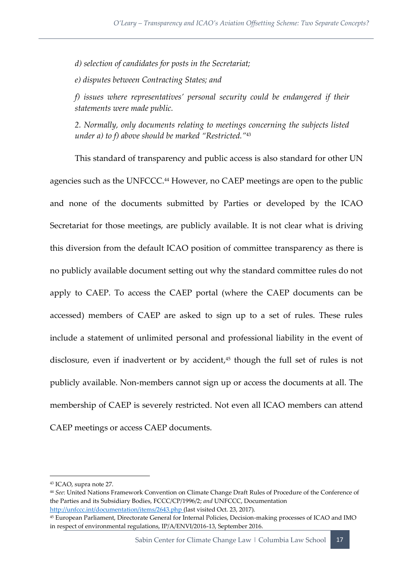*d) selection of candidates for posts in the Secretariat;* 

*e) disputes between Contracting States; and* 

*f) issues where representatives' personal security could be endangered if their statements were made public.* 

*2. Normally, only documents relating to meetings concerning the subjects listed under a) to f) above should be marked "Restricted."*<sup>43</sup>

This standard of transparency and public access is also standard for other UN agencies such as the UNFCCC.<sup>44</sup> However, no CAEP meetings are open to the public and none of the documents submitted by Parties or developed by the ICAO Secretariat for those meetings, are publicly available. It is not clear what is driving this diversion from the default ICAO position of committee transparency as there is no publicly available document setting out why the standard committee rules do not apply to CAEP. To access the CAEP portal (where the CAEP documents can be accessed) members of CAEP are asked to sign up to a set of rules. These rules include a statement of unlimited personal and professional liability in the event of disclosure, even if inadvertent or by accident, <sup>45</sup> though the full set of rules is not publicly available. Non-members cannot sign up or access the documents at all. The membership of CAEP is severely restricted. Not even all ICAO members can attend CAEP meetings or access CAEP documents.

 $\overline{a}$ 

<sup>43</sup> ICAO, supra note 27.

<sup>44</sup> *See*: United Nations Framework Convention on Climate Change Draft Rules of Procedure of the Conference of the Parties and its Subsidiary Bodies, FCCC/CP/1996/2; *and* UNFCCC, Documentation

<http://unfccc.int/documentation/items/2643.php> (last visited Oct. 23, 2017).

<sup>45</sup> European Parliament, Directorate General for Internal Policies, Decision-making processes of ICAO and IMO in respect of environmental regulations, IP/A/ENVI/2016-13, September 2016.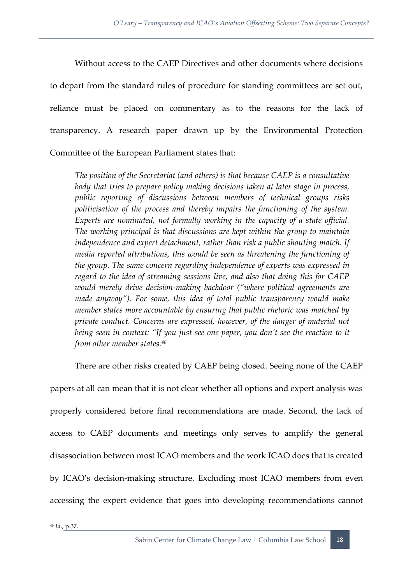Without access to the CAEP Directives and other documents where decisions to depart from the standard rules of procedure for standing committees are set out, reliance must be placed on commentary as to the reasons for the lack of transparency. A research paper drawn up by the Environmental Protection Committee of the European Parliament states that:

*The position of the Secretariat (and others) is that because CAEP is a consultative body that tries to prepare policy making decisions taken at later stage in process, public reporting of discussions between members of technical groups risks politicisation of the process and thereby impairs the functioning of the system. Experts are nominated, not formally working in the capacity of a state official. The working principal is that discussions are kept within the group to maintain independence and expert detachment, rather than risk a public shouting match. If media reported attributions, this would be seen as threatening the functioning of the group. The same concern regarding independence of experts was expressed in regard to the idea of streaming sessions live, and also that doing this for CAEP would merely drive decision-making backdoor ("where political agreements are made anyway"). For some, this idea of total public transparency would make member states more accountable by ensuring that public rhetoric was matched by private conduct. Concerns are expressed, however, of the danger of material not being seen in context: "If you just see one paper, you don't see the reaction to it from other member states.<sup>46</sup>*

There are other risks created by CAEP being closed. Seeing none of the CAEP

papers at all can mean that it is not clear whether all options and expert analysis was properly considered before final recommendations are made. Second, the lack of access to CAEP documents and meetings only serves to amplify the general disassociation between most ICAO members and the work ICAO does that is created by ICAO's decision-making structure. Excluding most ICAO members from even accessing the expert evidence that goes into developing recommendations cannot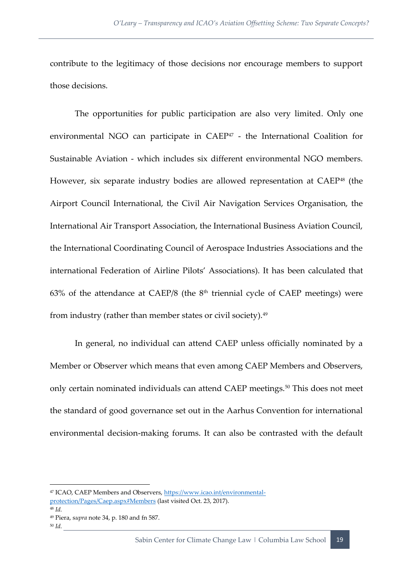contribute to the legitimacy of those decisions nor encourage members to support those decisions.

The opportunities for public participation are also very limited. Only one environmental NGO can participate in CAEP<sup>47</sup> - the International Coalition for Sustainable Aviation - which includes six different environmental NGO members. However, six separate industry bodies are allowed representation at CAEP<sup>48</sup> (the Airport Council International, the Civil Air Navigation Services Organisation, the International Air Transport Association, the International Business Aviation Council, the International Coordinating Council of Aerospace Industries Associations and the international Federation of Airline Pilots' Associations). It has been calculated that 63% of the attendance at CAEP/8 (the  $8<sup>th</sup>$  triennial cycle of CAEP meetings) were from industry (rather than member states or civil society).<sup>49</sup>

In general, no individual can attend CAEP unless officially nominated by a Member or Observer which means that even among CAEP Members and Observers, only certain nominated individuals can attend CAEP meetings.<sup>50</sup> This does not meet the standard of good governance set out in the Aarhus Convention for international environmental decision-making forums. It can also be contrasted with the default

<sup>48</sup> *Id.*

<sup>47</sup> ICAO, CAEP Members and Observers[, https://www.icao.int/environmental](https://www.icao.int/environmental-protection/Pages/Caep.aspx#Members)[protection/Pages/Caep.aspx#Members](https://www.icao.int/environmental-protection/Pages/Caep.aspx#Members) (last visited Oct. 23, 2017).

<sup>49</sup> Piera, s*upra* note 34, p. 180 and fn 587.

<sup>50</sup> *Id.*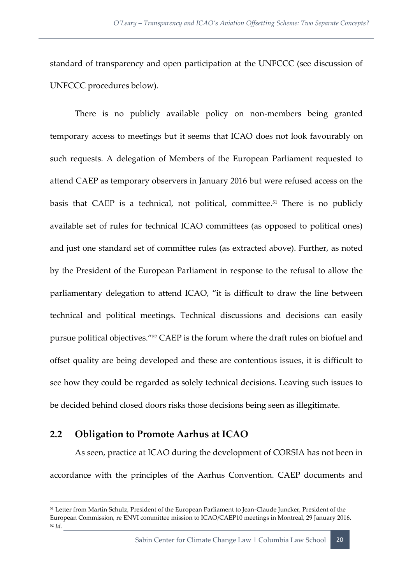standard of transparency and open participation at the UNFCCC (see discussion of UNFCCC procedures below).

There is no publicly available policy on non-members being granted temporary access to meetings but it seems that ICAO does not look favourably on such requests. A delegation of Members of the European Parliament requested to attend CAEP as temporary observers in January 2016 but were refused access on the basis that CAEP is a technical, not political, committee.<sup>51</sup> There is no publicly available set of rules for technical ICAO committees (as opposed to political ones) and just one standard set of committee rules (as extracted above). Further, as noted by the President of the European Parliament in response to the refusal to allow the parliamentary delegation to attend ICAO, "it is difficult to draw the line between technical and political meetings. Technical discussions and decisions can easily pursue political objectives."<sup>52</sup> CAEP is the forum where the draft rules on biofuel and offset quality are being developed and these are contentious issues, it is difficult to see how they could be regarded as solely technical decisions. Leaving such issues to be decided behind closed doors risks those decisions being seen as illegitimate.

#### <span id="page-28-0"></span>**2.2 Obligation to Promote Aarhus at ICAO**

**.** 

As seen, practice at ICAO during the development of CORSIA has not been in accordance with the principles of the Aarhus Convention. CAEP documents and

<sup>&</sup>lt;sup>51</sup> Letter from Martin Schulz, President of the European Parliament to Jean-Claude Juncker, President of the European Commission, re ENVI committee mission to ICAO/CAEP10 meetings in Montreal, 29 January 2016. <sup>52</sup> *Id.*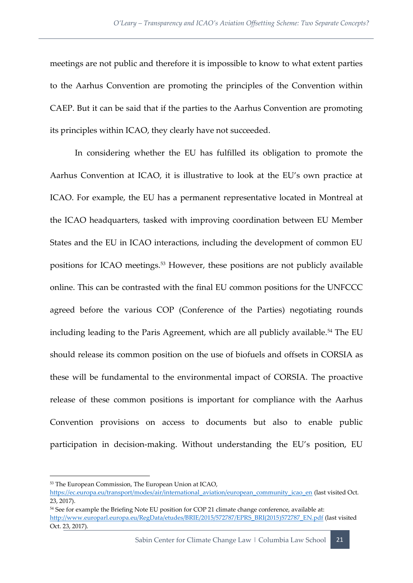meetings are not public and therefore it is impossible to know to what extent parties to the Aarhus Convention are promoting the principles of the Convention within CAEP. But it can be said that if the parties to the Aarhus Convention are promoting its principles within ICAO, they clearly have not succeeded.

In considering whether the EU has fulfilled its obligation to promote the Aarhus Convention at ICAO, it is illustrative to look at the EU's own practice at ICAO. For example, the EU has a permanent representative located in Montreal at the ICAO headquarters, tasked with improving coordination between EU Member States and the EU in ICAO interactions, including the development of common EU positions for ICAO meetings.<sup>53</sup> However, these positions are not publicly available online. This can be contrasted with the final EU common positions for the UNFCCC agreed before the various COP (Conference of the Parties) negotiating rounds including leading to the Paris Agreement, which are all publicly available.<sup>54</sup> The EU should release its common position on the use of biofuels and offsets in CORSIA as these will be fundamental to the environmental impact of CORSIA. The proactive release of these common positions is important for compliance with the Aarhus Convention provisions on access to documents but also to enable public participation in decision-making. Without understanding the EU's position, EU

 $\overline{a}$ 

<sup>53</sup> The European Commission, The European Union at ICAO,

[https://ec.europa.eu/transport/modes/air/international\\_aviation/european\\_community\\_icao\\_en](https://ec.europa.eu/transport/modes/air/international_aviation/european_community_icao_en) (last visited Oct. 23, 2017).

<sup>&</sup>lt;sup>54</sup> See for example the Briefing Note EU position for COP 21 climate change conference, available at: [http://www.europarl.europa.eu/RegData/etudes/BRIE/2015/572787/EPRS\\_BRI\(2015\)572787\\_EN.pdf](http://www.europarl.europa.eu/RegData/etudes/BRIE/2015/572787/EPRS_BRI(2015)572787_EN.pdf) (last visited Oct. 23, 2017).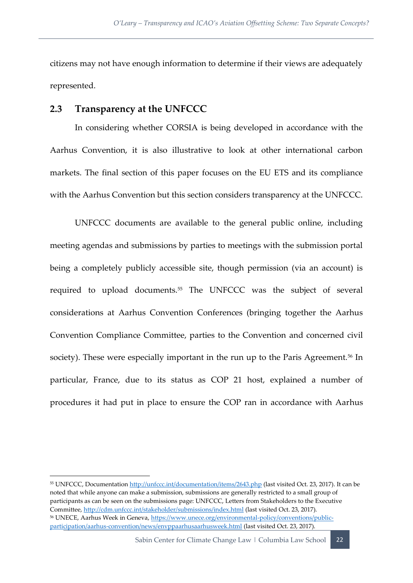citizens may not have enough information to determine if their views are adequately represented.

#### <span id="page-30-0"></span>**2.3 Transparency at the UNFCCC**

 $\overline{a}$ 

In considering whether CORSIA is being developed in accordance with the Aarhus Convention, it is also illustrative to look at other international carbon markets. The final section of this paper focuses on the EU ETS and its compliance with the Aarhus Convention but this section considers transparency at the UNFCCC.

UNFCCC documents are available to the general public online, including meeting agendas and submissions by parties to meetings with the submission portal being a completely publicly accessible site, though permission (via an account) is required to upload documents.<sup>55</sup> The UNFCCC was the subject of several considerations at Aarhus Convention Conferences (bringing together the Aarhus Convention Compliance Committee, parties to the Convention and concerned civil society). These were especially important in the run up to the Paris Agreement.<sup>56</sup> In particular, France, due to its status as COP 21 host, explained a number of procedures it had put in place to ensure the COP ran in accordance with Aarhus

<sup>&</sup>lt;sup>55</sup> UNFCCC, Documentation<http://unfccc.int/documentation/items/2643.php> (last visited Oct. 23, 2017). It can be noted that while anyone can make a submission, submissions are generally restricted to a small group of participants as can be seen on the submissions page: UNFCCC, Letters from Stakeholders to the Executive Committee,<http://cdm.unfccc.int/stakeholder/submissions/index.html> (last visited Oct. 23, 2017). 56 UNECE, Aarhus Week in Geneva[, https://www.unece.org/environmental-policy/conventions/public](https://www.unece.org/environmental-policy/conventions/public-participation/aarhus-convention/news/envppaarhusaarhusweek.html)[participation/aarhus-convention/news/envppaarhusaarhusweek.html](https://www.unece.org/environmental-policy/conventions/public-participation/aarhus-convention/news/envppaarhusaarhusweek.html) (last visited Oct. 23, 2017).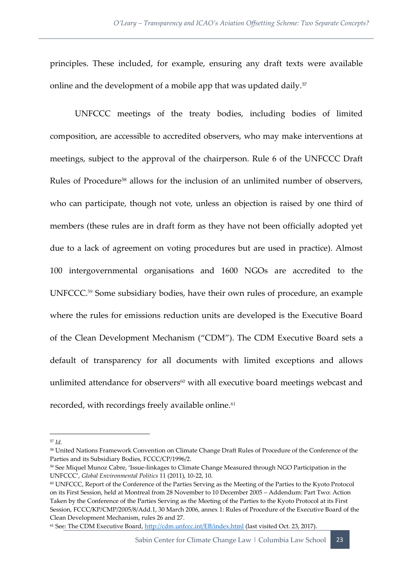principles. These included, for example, ensuring any draft texts were available online and the development of a mobile app that was updated daily.<sup>57</sup>

UNFCCC meetings of the treaty bodies, including bodies of limited composition, are accessible to accredited observers, who may make interventions at meetings, subject to the approval of the chairperson. Rule 6 of the UNFCCC Draft Rules of Procedure<sup>58</sup> allows for the inclusion of an unlimited number of observers, who can participate, though not vote, unless an objection is raised by one third of members (these rules are in draft form as they have not been officially adopted yet due to a lack of agreement on voting procedures but are used in practice). Almost 100 intergovernmental organisations and 1600 NGOs are accredited to the UNFCCC.<sup>59</sup> Some subsidiary bodies, have their own rules of procedure, an example where the rules for emissions reduction units are developed is the Executive Board of the Clean Development Mechanism ("CDM"). The CDM Executive Board sets a default of transparency for all documents with limited exceptions and allows unlimited attendance for observers $60$  with all executive board meetings webcast and recorded, with recordings freely available online.<sup>61</sup>

**.** 

Sabin Center for Climate Change Law | Columbia Law School 23

<sup>57</sup> *Id.*

<sup>58</sup> United Nations Framework Convention on Climate Change Draft Rules of Procedure of the Conference of the Parties and its Subsidiary Bodies, FCCC/CP/1996/2.

<sup>59</sup> See Miquel Munoz Cabre, 'Issue-linkages to Climate Change Measured through NGO Participation in the UNFCCC', *Global Environmental Politics* 11 (2011), 10-22, 10.

<sup>60</sup> UNFCCC, Report of the Conference of the Parties Serving as the Meeting of the Parties to the Kyoto Protocol on its First Session, held at Montreal from 28 November to 10 December 2005 – Addendum: Part Two: Action Taken by the Conference of the Parties Serving as the Meeting of the Parties to the Kyoto Protocol at its First Session, FCCC/KP/CMP/2005/8/Add.1, 30 March 2006, annex 1: Rules of Procedure of the Executive Board of the Clean Development Mechanism, rules 26 and 27.

<sup>61</sup> See: The CDM Executive Board[, http://cdm.unfccc.int/EB/index.html](http://cdm.unfccc.int/EB/index.html) (last visited Oct. 23, 2017).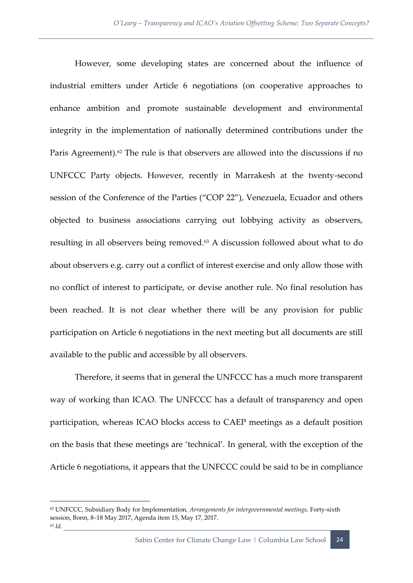However, some developing states are concerned about the influence of industrial emitters under Article 6 negotiations (on cooperative approaches to enhance ambition and promote sustainable development and environmental integrity in the implementation of nationally determined contributions under the Paris Agreement). $62$  The rule is that observers are allowed into the discussions if no UNFCCC Party objects. However, recently in Marrakesh at the twenty-second session of the Conference of the Parties ("COP 22"), Venezuela, Ecuador and others objected to business associations carrying out lobbying activity as observers, resulting in all observers being removed.<sup>63</sup> A discussion followed about what to do about observers e.g. carry out a conflict of interest exercise and only allow those with no conflict of interest to participate, or devise another rule. No final resolution has been reached. It is not clear whether there will be any provision for public participation on Article 6 negotiations in the next meeting but all documents are still available to the public and accessible by all observers.

Therefore, it seems that in general the UNFCCC has a much more transparent way of working than ICAO. The UNFCCC has a default of transparency and open participation, whereas ICAO blocks access to CAEP meetings as a default position on the basis that these meetings are 'technical'. In general, with the exception of the Article 6 negotiations, it appears that the UNFCCC could be said to be in compliance

<sup>62</sup> UNFCCC, Subsidiary Body for Implementation, *Arrangements for intergovernmental meetings,* Forty-sixth session, Bonn, 8–18 May 2017, Agenda item 15, May 17, 2017. <sup>63</sup> *Id.*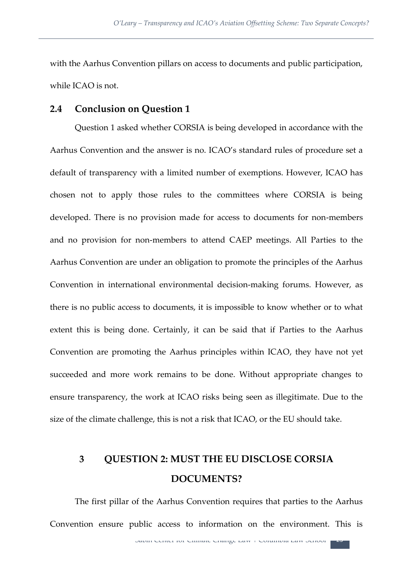with the Aarhus Convention pillars on access to documents and public participation, while ICAO is not.

#### <span id="page-33-0"></span>**2.4 Conclusion on Question 1**

Question 1 asked whether CORSIA is being developed in accordance with the Aarhus Convention and the answer is no. ICAO's standard rules of procedure set a default of transparency with a limited number of exemptions. However, ICAO has chosen not to apply those rules to the committees where CORSIA is being developed. There is no provision made for access to documents for non-members and no provision for non-members to attend CAEP meetings. All Parties to the Aarhus Convention are under an obligation to promote the principles of the Aarhus Convention in international environmental decision-making forums. However, as there is no public access to documents, it is impossible to know whether or to what extent this is being done. Certainly, it can be said that if Parties to the Aarhus Convention are promoting the Aarhus principles within ICAO, they have not yet succeeded and more work remains to be done. Without appropriate changes to ensure transparency, the work at ICAO risks being seen as illegitimate. Due to the size of the climate challenge, this is not a risk that ICAO, or the EU should take.

## <span id="page-33-1"></span>**3 QUESTION 2: MUST THE EU DISCLOSE CORSIA DOCUMENTS?**

The first pillar of the Aarhus Convention requires that parties to the Aarhus Convention ensure public access to information on the environment. This is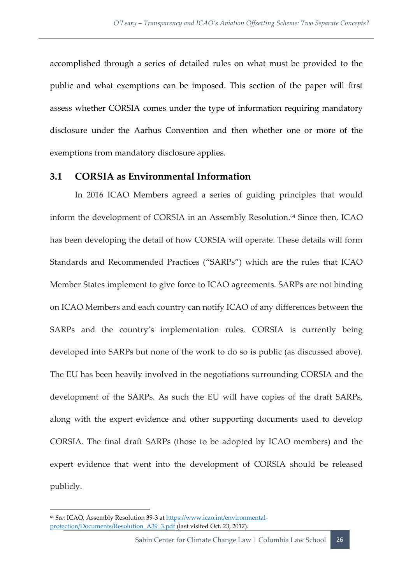accomplished through a series of detailed rules on what must be provided to the public and what exemptions can be imposed. This section of the paper will first assess whether CORSIA comes under the type of information requiring mandatory disclosure under the Aarhus Convention and then whether one or more of the exemptions from mandatory disclosure applies.

#### <span id="page-34-0"></span>**3.1 CORSIA as Environmental Information**

In 2016 ICAO Members agreed a series of guiding principles that would inform the development of CORSIA in an Assembly Resolution.<sup>64</sup> Since then, ICAO has been developing the detail of how CORSIA will operate. These details will form Standards and Recommended Practices ("SARPs") which are the rules that ICAO Member States implement to give force to ICAO agreements. SARPs are not binding on ICAO Members and each country can notify ICAO of any differences between the SARPs and the country's implementation rules. CORSIA is currently being developed into SARPs but none of the work to do so is public (as discussed above). The EU has been heavily involved in the negotiations surrounding CORSIA and the development of the SARPs. As such the EU will have copies of the draft SARPs, along with the expert evidence and other supporting documents used to develop CORSIA. The final draft SARPs (those to be adopted by ICAO members) and the expert evidence that went into the development of CORSIA should be released publicly.

1

<sup>64</sup> *See:* ICAO, Assembly Resolution 39-3 a[t https://www.icao.int/environmental](https://www.icao.int/environmental-protection/Documents/Resolution_A39_3.pdf)[protection/Documents/Resolution\\_A39\\_3.pdf](https://www.icao.int/environmental-protection/Documents/Resolution_A39_3.pdf) (last visited Oct. 23, 2017).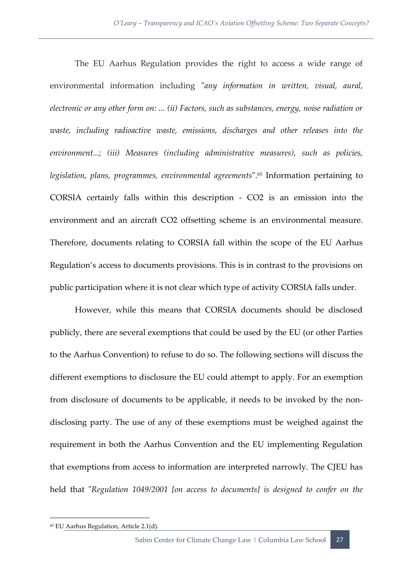The EU Aarhus Regulation provides the right to access a wide range of environmental information including "*any information in written, visual, aural, electronic or any other form on: ... (ii) Factors, such as substances, energy, noise radiation or waste, including radioactive waste, emissions, discharges and other releases into the environment...; (iii) Measures (including administrative measures), such as policies, legislation, plans, programmes, environmental agreements*".<sup>65</sup> Information pertaining to CORSIA certainly falls within this description - CO2 is an emission into the environment and an aircraft CO2 offsetting scheme is an environmental measure. Therefore, documents relating to CORSIA fall within the scope of the EU Aarhus Regulation's access to documents provisions. This is in contrast to the provisions on public participation where it is not clear which type of activity CORSIA falls under.

However, while this means that CORSIA documents should be disclosed publicly, there are several exemptions that could be used by the EU (or other Parties to the Aarhus Convention) to refuse to do so. The following sections will discuss the different exemptions to disclosure the EU could attempt to apply. For an exemption from disclosure of documents to be applicable, it needs to be invoked by the nondisclosing party. The use of any of these exemptions must be weighed against the requirement in both the Aarhus Convention and the EU implementing Regulation that exemptions from access to information are interpreted narrowly. The CJEU has held that "*Regulation 1049/2001 [on access to documents] is designed to confer on the* 

<sup>65</sup> EU Aarhus Regulation, Article 2.1(d).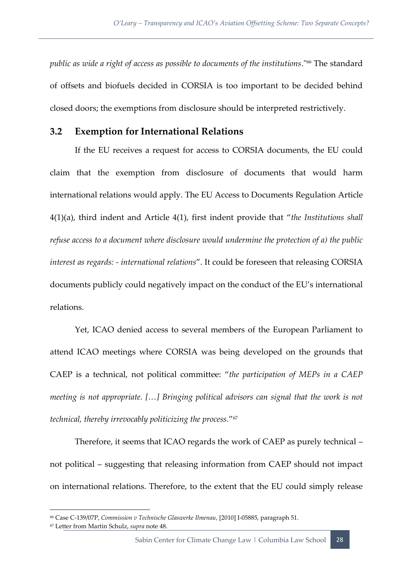*public as wide a right of access as possible to documents of the institutions*."<sup>66</sup> The standard of offsets and biofuels decided in CORSIA is too important to be decided behind closed doors; the exemptions from disclosure should be interpreted restrictively.

#### <span id="page-36-0"></span>**3.2 Exemption for International Relations**

If the EU receives a request for access to CORSIA documents, the EU could claim that the exemption from disclosure of documents that would harm international relations would apply. The EU Access to Documents Regulation Article 4(1)(a), third indent and Article 4(1), first indent provide that "*the Institutions shall refuse access to a document where disclosure would undermine the protection of a) the public interest as regards: - international relations*". It could be foreseen that releasing CORSIA documents publicly could negatively impact on the conduct of the EU's international relations.

Yet, ICAO denied access to several members of the European Parliament to attend ICAO meetings where CORSIA was being developed on the grounds that CAEP is a technical, not political committee: "*the participation of MEPs in a CAEP meeting is not appropriate.* [...] Bringing political advisors can signal that the work is not *technical, thereby irrevocably politicizing the process.*" 67

Therefore, it seems that ICAO regards the work of CAEP as purely technical – not political – suggesting that releasing information from CAEP should not impact on international relations. Therefore, to the extent that the EU could simply release

1

<sup>66</sup> Case C-139/07P, *Commission v Technische Glaswerke Ilmenau*, [2010] I-05885, paragraph 51.

<sup>67</sup> Letter from Martin Schulz, *supra* note 48.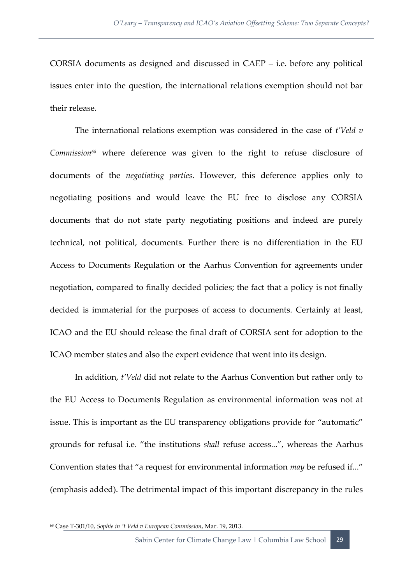CORSIA documents as designed and discussed in CAEP – i.e. before any political issues enter into the question, the international relations exemption should not bar their release.

The international relations exemption was considered in the case of *t'Veld v Commission<sup>68</sup>* where deference was given to the right to refuse disclosure of documents of the *negotiating parties*. However, this deference applies only to negotiating positions and would leave the EU free to disclose any CORSIA documents that do not state party negotiating positions and indeed are purely technical, not political, documents. Further there is no differentiation in the EU Access to Documents Regulation or the Aarhus Convention for agreements under negotiation, compared to finally decided policies; the fact that a policy is not finally decided is immaterial for the purposes of access to documents. Certainly at least, ICAO and the EU should release the final draft of CORSIA sent for adoption to the ICAO member states and also the expert evidence that went into its design.

In addition, *t'Veld* did not relate to the Aarhus Convention but rather only to the EU Access to Documents Regulation as environmental information was not at issue. This is important as the EU transparency obligations provide for "automatic" grounds for refusal i.e. "the institutions *shall* refuse access...", whereas the Aarhus Convention states that "a request for environmental information *may* be refused if..." (emphasis added). The detrimental impact of this important discrepancy in the rules

<sup>68</sup> Case T-301/10, *Sophie in 't Veld v European Commission*, Mar. 19, 2013.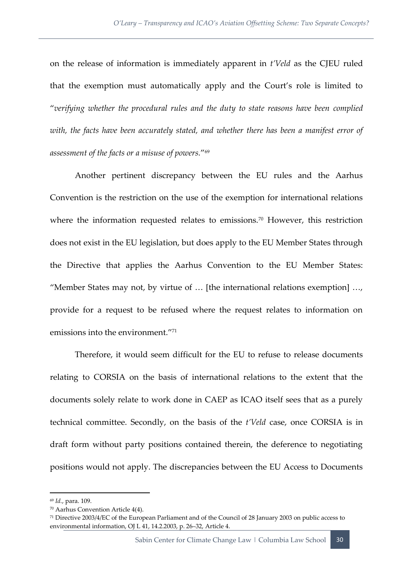on the release of information is immediately apparent in *t'Veld* as the CJEU ruled that the exemption must automatically apply and the Court's role is limited to "*verifying whether the procedural rules and the duty to state reasons have been complied with, the facts have been accurately stated, and whether there has been a manifest error of assessment of the facts or a misuse of powers.*" 69

Another pertinent discrepancy between the EU rules and the Aarhus Convention is the restriction on the use of the exemption for international relations where the information requested relates to emissions.<sup>70</sup> However, this restriction does not exist in the EU legislation, but does apply to the EU Member States through the Directive that applies the Aarhus Convention to the EU Member States: "Member States may not, by virtue of … [the international relations exemption] …, provide for a request to be refused where the request relates to information on emissions into the environment."<sup>71</sup>

Therefore, it would seem difficult for the EU to refuse to release documents relating to CORSIA on the basis of international relations to the extent that the documents solely relate to work done in CAEP as ICAO itself sees that as a purely technical committee. Secondly, on the basis of the *t'Veld* case, once CORSIA is in draft form without party positions contained therein, the deference to negotiating positions would not apply. The discrepancies between the EU Access to Documents

<sup>69</sup> *Id.*, para. 109.

<sup>70</sup> Aarhus Convention Article 4(4).

<sup>71</sup> Directive 2003/4/EC of the European Parliament and of the Council of 28 January 2003 on public access to environmental information, OJ L 41, 14.2.2003, p. 26–32, Article 4.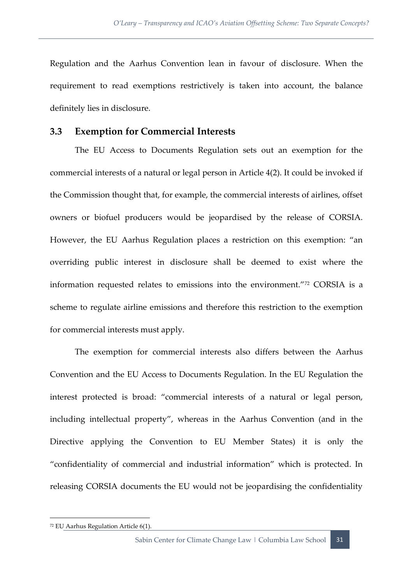Regulation and the Aarhus Convention lean in favour of disclosure. When the requirement to read exemptions restrictively is taken into account, the balance definitely lies in disclosure.

#### <span id="page-39-0"></span>**3.3 Exemption for Commercial Interests**

The EU Access to Documents Regulation sets out an exemption for the commercial interests of a natural or legal person in Article 4(2). It could be invoked if the Commission thought that, for example, the commercial interests of airlines, offset owners or biofuel producers would be jeopardised by the release of CORSIA. However, the EU Aarhus Regulation places a restriction on this exemption: "an overriding public interest in disclosure shall be deemed to exist where the information requested relates to emissions into the environment."<sup>72</sup> CORSIA is a scheme to regulate airline emissions and therefore this restriction to the exemption for commercial interests must apply.

The exemption for commercial interests also differs between the Aarhus Convention and the EU Access to Documents Regulation. In the EU Regulation the interest protected is broad: "commercial interests of a natural or legal person, including intellectual property", whereas in the Aarhus Convention (and in the Directive applying the Convention to EU Member States) it is only the "confidentiality of commercial and industrial information" which is protected. In releasing CORSIA documents the EU would not be jeopardising the confidentiality

<sup>72</sup> EU Aarhus Regulation Article 6(1).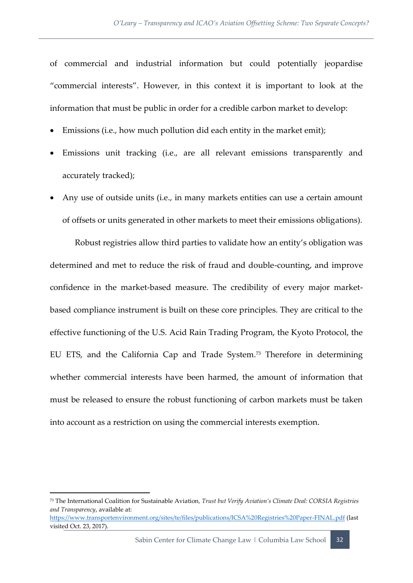of commercial and industrial information but could potentially jeopardise "commercial interests". However, in this context it is important to look at the information that must be public in order for a credible carbon market to develop:

- Emissions (i.e., how much pollution did each entity in the market emit);
- Emissions unit tracking (i.e., are all relevant emissions transparently and accurately tracked);
- Any use of outside units (i.e., in many markets entities can use a certain amount of offsets or units generated in other markets to meet their emissions obligations).

Robust registries allow third parties to validate how an entity's obligation was determined and met to reduce the risk of fraud and double-counting, and improve confidence in the market-based measure. The credibility of every major marketbased compliance instrument is built on these core principles. They are critical to the effective functioning of the U.S. Acid Rain Trading Program, the Kyoto Protocol, the EU ETS, and the California Cap and Trade System.<sup>73</sup> Therefore in determining whether commercial interests have been harmed, the amount of information that must be released to ensure the robust functioning of carbon markets must be taken into account as a restriction on using the commercial interests exemption.

**.** 

<https://www.transportenvironment.org/sites/te/files/publications/ICSA%20Registries%20Paper-FINAL.pdf> (last visited Oct. 23, 2017).

<sup>73</sup> The International Coalition for Sustainable Aviation*, Trust but Verify Aviation's Climate Deal: CORSIA Registries and Transparency*, available at: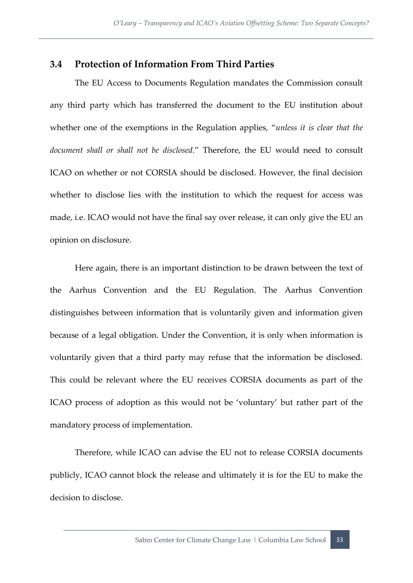#### <span id="page-41-0"></span>**3.4 Protection of Information From Third Parties**

The EU Access to Documents Regulation mandates the Commission consult any third party which has transferred the document to the EU institution about whether one of the exemptions in the Regulation applies, "*unless it is clear that the document shall or shall not be disclosed.*" Therefore, the EU would need to consult ICAO on whether or not CORSIA should be disclosed. However, the final decision whether to disclose lies with the institution to which the request for access was made, i.e. ICAO would not have the final say over release, it can only give the EU an opinion on disclosure.

Here again, there is an important distinction to be drawn between the text of the Aarhus Convention and the EU Regulation. The Aarhus Convention distinguishes between information that is voluntarily given and information given because of a legal obligation. Under the Convention, it is only when information is voluntarily given that a third party may refuse that the information be disclosed. This could be relevant where the EU receives CORSIA documents as part of the ICAO process of adoption as this would not be 'voluntary' but rather part of the mandatory process of implementation.

Therefore, while ICAO can advise the EU not to release CORSIA documents publicly, ICAO cannot block the release and ultimately it is for the EU to make the decision to disclose.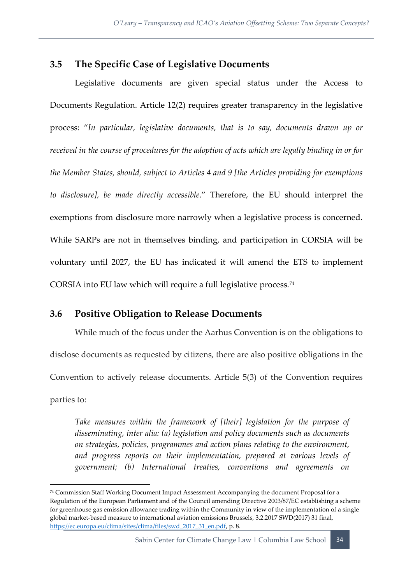#### <span id="page-42-0"></span>**3.5 The Specific Case of Legislative Documents**

Legislative documents are given special status under the Access to Documents Regulation. Article 12(2) requires greater transparency in the legislative process: "*In particular, legislative documents, that is to say, documents drawn up or received in the course of procedures for the adoption of acts which are legally binding in or for the Member States, should, subject to Articles 4 and 9 [the Articles providing for exemptions to disclosure], be made directly accessible*." Therefore, the EU should interpret the exemptions from disclosure more narrowly when a legislative process is concerned. While SARPs are not in themselves binding, and participation in CORSIA will be voluntary until 2027, the EU has indicated it will amend the ETS to implement CORSIA into EU law which will require a full legislative process.<sup>74</sup>

#### <span id="page-42-1"></span>**3.6 Positive Obligation to Release Documents**

**.** 

While much of the focus under the Aarhus Convention is on the obligations to disclose documents as requested by citizens, there are also positive obligations in the Convention to actively release documents. Article 5(3) of the Convention requires parties to:

*Take measures within the framework of [their] legislation for the purpose of disseminating, inter alia: (a) legislation and policy documents such as documents on strategies, policies, programmes and action plans relating to the environment, and progress reports on their implementation, prepared at various levels of government; (b) International treaties, conventions and agreements on* 

Sabin Center for Climate Change Law | Columbia Law School 34

<sup>74</sup> Commission Staff Working Document Impact Assessment Accompanying the document Proposal for a Regulation of the European Parliament and of the Council amending Directive 2003/87/EC establishing a scheme for greenhouse gas emission allowance trading within the Community in view of the implementation of a single global market-based measure to international aviation emissions Brussels, 3.2.2017 SWD(2017) 31 final, [https://ec.europa.eu/clima/sites/clima/files/swd\\_2017\\_31\\_en.pdf,](https://ec.europa.eu/clima/sites/clima/files/swd_2017_31_en.pdf) p. 8.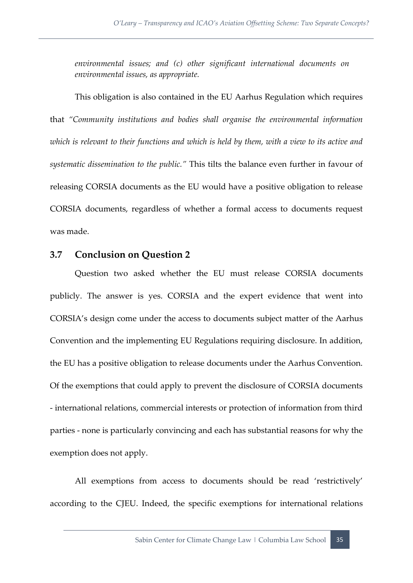*environmental issues; and (c) other significant international documents on environmental issues, as appropriate.*

This obligation is also contained in the EU Aarhus Regulation which requires that *"Community institutions and bodies shall organise the environmental information which is relevant to their functions and which is held by them, with a view to its active and systematic dissemination to the public."* This tilts the balance even further in favour of releasing CORSIA documents as the EU would have a positive obligation to release CORSIA documents, regardless of whether a formal access to documents request was made.

#### <span id="page-43-0"></span>**3.7 Conclusion on Question 2**

Question two asked whether the EU must release CORSIA documents publicly. The answer is yes. CORSIA and the expert evidence that went into CORSIA's design come under the access to documents subject matter of the Aarhus Convention and the implementing EU Regulations requiring disclosure. In addition, the EU has a positive obligation to release documents under the Aarhus Convention. Of the exemptions that could apply to prevent the disclosure of CORSIA documents - international relations, commercial interests or protection of information from third parties - none is particularly convincing and each has substantial reasons for why the exemption does not apply.

All exemptions from access to documents should be read 'restrictively' according to the CJEU. Indeed, the specific exemptions for international relations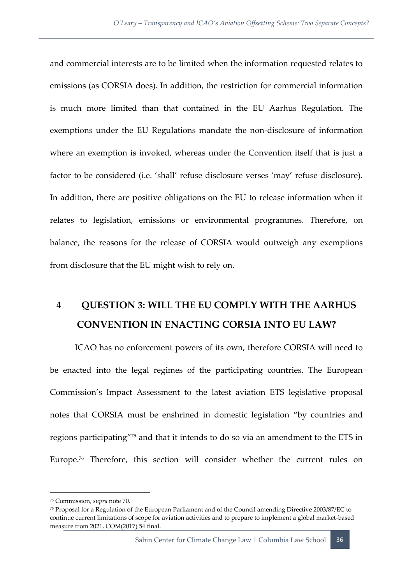and commercial interests are to be limited when the information requested relates to emissions (as CORSIA does). In addition, the restriction for commercial information is much more limited than that contained in the EU Aarhus Regulation. The exemptions under the EU Regulations mandate the non-disclosure of information where an exemption is invoked, whereas under the Convention itself that is just a factor to be considered (i.e. 'shall' refuse disclosure verses 'may' refuse disclosure). In addition, there are positive obligations on the EU to release information when it relates to legislation, emissions or environmental programmes. Therefore, on balance, the reasons for the release of CORSIA would outweigh any exemptions from disclosure that the EU might wish to rely on.

## <span id="page-44-0"></span>**4 QUESTION 3: WILL THE EU COMPLY WITH THE AARHUS CONVENTION IN ENACTING CORSIA INTO EU LAW?**

ICAO has no enforcement powers of its own, therefore CORSIA will need to be enacted into the legal regimes of the participating countries. The European Commission's Impact Assessment to the latest aviation ETS legislative proposal notes that CORSIA must be enshrined in domestic legislation "by countries and regions participating"<sup>75</sup> and that it intends to do so via an amendment to the ETS in Europe.<sup>76</sup> Therefore, this section will consider whether the current rules on

<sup>75</sup> Commission, *supra* note 70.

<sup>76</sup> Proposal for a Regulation of the European Parliament and of the Council amending Directive 2003/87/EC to continue current limitations of scope for aviation activities and to prepare to implement a global market-based measure from 2021, COM(2017) 54 final.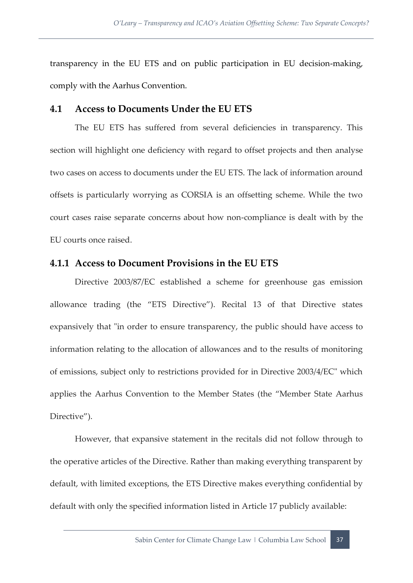transparency in the EU ETS and on public participation in EU decision-making, comply with the Aarhus Convention.

#### <span id="page-45-0"></span>**4.1 Access to Documents Under the EU ETS**

The EU ETS has suffered from several deficiencies in transparency. This section will highlight one deficiency with regard to offset projects and then analyse two cases on access to documents under the EU ETS. The lack of information around offsets is particularly worrying as CORSIA is an offsetting scheme. While the two court cases raise separate concerns about how non-compliance is dealt with by the EU courts once raised.

#### <span id="page-45-1"></span>**4.1.1 Access to Document Provisions in the EU ETS**

Directive 2003/87/EC established a scheme for greenhouse gas emission allowance trading (the "ETS Directive"). Recital 13 of that Directive states expansively that "in order to ensure transparency, the public should have access to information relating to the allocation of allowances and to the results of monitoring of emissions, subject only to restrictions provided for in Directive 2003/4/EC" which applies the Aarhus Convention to the Member States (the "Member State Aarhus Directive").

However, that expansive statement in the recitals did not follow through to the operative articles of the Directive. Rather than making everything transparent by default, with limited exceptions, the ETS Directive makes everything confidential by default with only the specified information listed in Article 17 publicly available: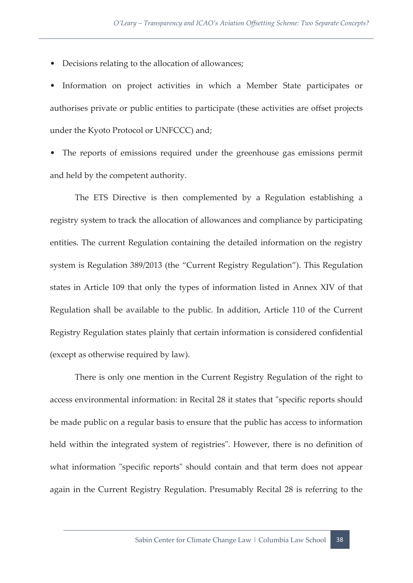• Decisions relating to the allocation of allowances;

• Information on project activities in which a Member State participates or authorises private or public entities to participate (these activities are offset projects under the Kyoto Protocol or UNFCCC) and;

• The reports of emissions required under the greenhouse gas emissions permit and held by the competent authority.

The ETS Directive is then complemented by a Regulation establishing a registry system to track the allocation of allowances and compliance by participating entities. The current Regulation containing the detailed information on the registry system is Regulation 389/2013 (the "Current Registry Regulation"). This Regulation states in Article 109 that only the types of information listed in Annex XIV of that Regulation shall be available to the public. In addition, Article 110 of the Current Registry Regulation states plainly that certain information is considered confidential (except as otherwise required by law).

There is only one mention in the Current Registry Regulation of the right to access environmental information: in Recital 28 it states that "specific reports should be made public on a regular basis to ensure that the public has access to information held within the integrated system of registries". However, there is no definition of what information "specific reports" should contain and that term does not appear again in the Current Registry Regulation. Presumably Recital 28 is referring to the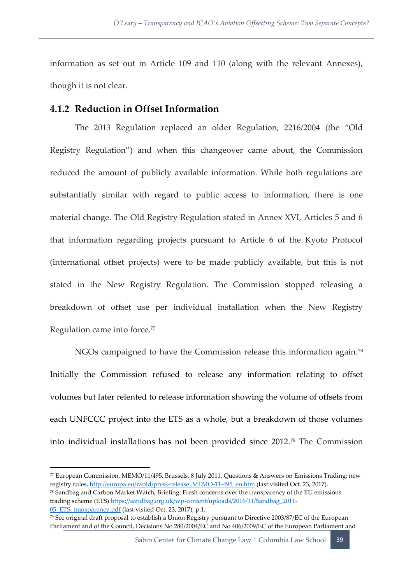information as set out in Article 109 and 110 (along with the relevant Annexes), though it is not clear.

#### <span id="page-47-0"></span>**4.1.2 Reduction in Offset Information**

The 2013 Regulation replaced an older Regulation, 2216/2004 (the "Old Registry Regulation") and when this changeover came about, the Commission reduced the amount of publicly available information. While both regulations are substantially similar with regard to public access to information, there is one material change. The Old Registry Regulation stated in Annex XVI, Articles 5 and 6 that information regarding projects pursuant to Article 6 of the Kyoto Protocol (international offset projects) were to be made publicly available, but this is not stated in the New Registry Regulation. The Commission stopped releasing a breakdown of offset use per individual installation when the New Registry Regulation came into force.<sup>77</sup>

NGOs campaigned to have the Commission release this information again.<sup>78</sup> Initially the Commission refused to release any information relating to offset volumes but later relented to release information showing the volume of offsets from each UNFCCC project into the ETS as a whole, but a breakdown of those volumes into individual installations has not been provided since 2012.<sup>79</sup> The Commission

1

<sup>77</sup> European Commission, MEMO/11/495, Brussels, 8 July 2011, Questions & Answers on Emissions Trading: new registry rules[, http://europa.eu/rapid/press-release\\_MEMO-11-495\\_en.htm](http://europa.eu/rapid/press-release_MEMO-11-495_en.htm) (last visited Oct. 23, 2017).

<sup>78</sup> Sandbag and Carbon Market Watch, Briefing: Fresh concerns over the transparency of the EU emissions trading scheme (ETS[\) https://sandbag.org.uk/wp-content/uploads/2016/11/Sandbag\\_2011-](https://sandbag.org.uk/wp-content/uploads/2016/11/Sandbag_2011-05_ETS_transparency.pdf) 05 ETS transparency.pdf (last visited Oct. 23, 2017), p.1.

<sup>79</sup> See original draft proposal to establish a Union Registry pursuant to Directive 2003/87/EC of the European Parliament and of the Council, Decisions No 280/2004/EC and No 406/2009/EC of the European Parliament and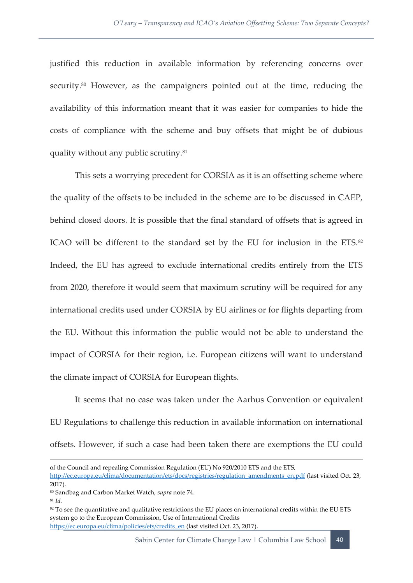justified this reduction in available information by referencing concerns over security.<sup>80</sup> However, as the campaigners pointed out at the time, reducing the availability of this information meant that it was easier for companies to hide the costs of compliance with the scheme and buy offsets that might be of dubious quality without any public scrutiny.<sup>81</sup>

This sets a worrying precedent for CORSIA as it is an offsetting scheme where the quality of the offsets to be included in the scheme are to be discussed in CAEP, behind closed doors. It is possible that the final standard of offsets that is agreed in ICAO will be different to the standard set by the EU for inclusion in the ETS. $82$ Indeed, the EU has agreed to exclude international credits entirely from the ETS from 2020, therefore it would seem that maximum scrutiny will be required for any international credits used under CORSIA by EU airlines or for flights departing from the EU. Without this information the public would not be able to understand the impact of CORSIA for their region, i.e. European citizens will want to understand the climate impact of CORSIA for European flights.

It seems that no case was taken under the Aarhus Convention or equivalent EU Regulations to challenge this reduction in available information on international offsets. However, if such a case had been taken there are exemptions the EU could

[http://ec.europa.eu/clima/documentation/ets/docs/registries/regulation\\_amendments\\_en.pdf](http://ec.europa.eu/clima/documentation/ets/docs/registries/regulation_amendments_en.pdf) (last visited Oct. 23, 2017).

of the Council and repealing Commission Regulation (EU) No 920/2010 ETS and the ETS,

<sup>80</sup> Sandbag and Carbon Market Watch, *supra* note 74.

<sup>81</sup> *Id.*

<sup>&</sup>lt;sup>82</sup> To see the quantitative and qualitative restrictions the EU places on international credits within the EU ETS system go to the European Commission, Use of International Credits [https://ec.europa.eu/clima/policies/ets/credits\\_en](https://ec.europa.eu/clima/policies/ets/credits_en) (last visited Oct. 23, 2017).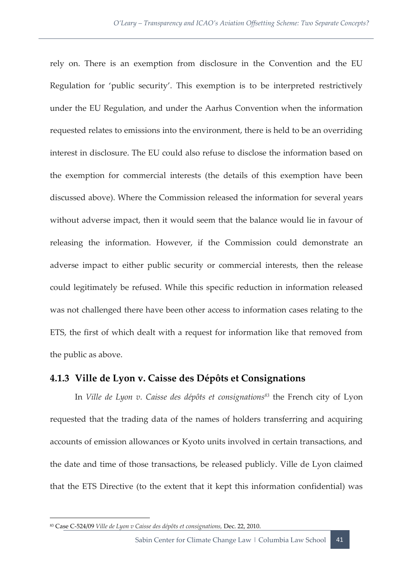rely on. There is an exemption from disclosure in the Convention and the EU Regulation for 'public security'. This exemption is to be interpreted restrictively under the EU Regulation, and under the Aarhus Convention when the information requested relates to emissions into the environment, there is held to be an overriding interest in disclosure. The EU could also refuse to disclose the information based on the exemption for commercial interests (the details of this exemption have been discussed above). Where the Commission released the information for several years without adverse impact, then it would seem that the balance would lie in favour of releasing the information. However, if the Commission could demonstrate an adverse impact to either public security or commercial interests, then the release could legitimately be refused. While this specific reduction in information released was not challenged there have been other access to information cases relating to the ETS, the first of which dealt with a request for information like that removed from the public as above.

#### <span id="page-49-0"></span>**4.1.3 Ville de Lyon v. Caisse des Dépôts et Consignations**

In *Ville de Lyon v. Caisse des dépôts et consignations<sup>83</sup>* the French city of Lyon requested that the trading data of the names of holders transferring and acquiring accounts of emission allowances or Kyoto units involved in certain transactions, and the date and time of those transactions, be released publicly. Ville de Lyon claimed that the ETS Directive (to the extent that it kept this information confidential) was

<sup>83</sup> Case C-524/09 *Ville de Lyon v Caisse des dépôts et consignations,* Dec. 22, 2010.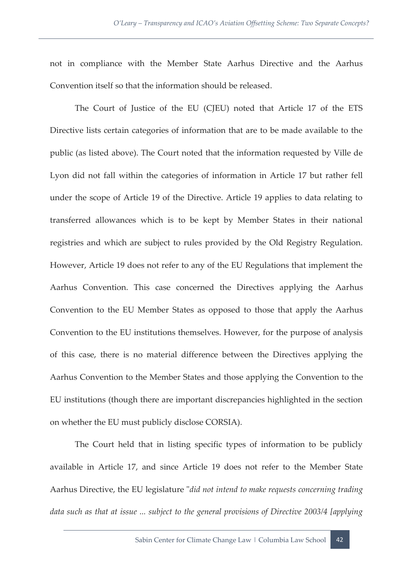not in compliance with the Member State Aarhus Directive and the Aarhus Convention itself so that the information should be released.

The Court of Justice of the EU (CJEU) noted that Article 17 of the ETS Directive lists certain categories of information that are to be made available to the public (as listed above). The Court noted that the information requested by Ville de Lyon did not fall within the categories of information in Article 17 but rather fell under the scope of Article 19 of the Directive. Article 19 applies to data relating to transferred allowances which is to be kept by Member States in their national registries and which are subject to rules provided by the Old Registry Regulation. However, Article 19 does not refer to any of the EU Regulations that implement the Aarhus Convention. This case concerned the Directives applying the Aarhus Convention to the EU Member States as opposed to those that apply the Aarhus Convention to the EU institutions themselves. However, for the purpose of analysis of this case, there is no material difference between the Directives applying the Aarhus Convention to the Member States and those applying the Convention to the EU institutions (though there are important discrepancies highlighted in the section on whether the EU must publicly disclose CORSIA).

The Court held that in listing specific types of information to be publicly available in Article 17, and since Article 19 does not refer to the Member State Aarhus Directive, the EU legislature "*did not intend to make requests concerning trading data such as that at issue ... subject to the general provisions of Directive 2003/4 [applying*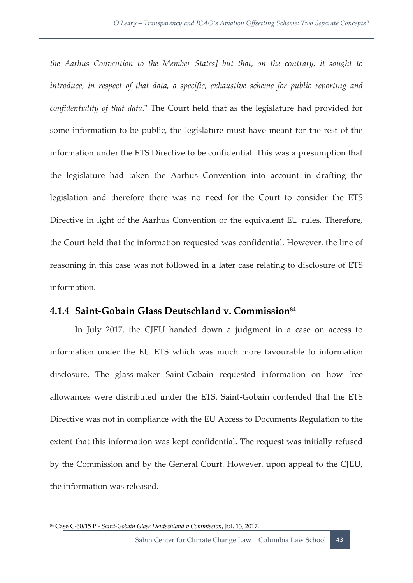*the Aarhus Convention to the Member States] but that, on the contrary, it sought to introduce, in respect of that data, a specific, exhaustive scheme for public reporting and confidentiality of that data*." The Court held that as the legislature had provided for some information to be public, the legislature must have meant for the rest of the information under the ETS Directive to be confidential. This was a presumption that the legislature had taken the Aarhus Convention into account in drafting the legislation and therefore there was no need for the Court to consider the ETS Directive in light of the Aarhus Convention or the equivalent EU rules. Therefore, the Court held that the information requested was confidential. However, the line of reasoning in this case was not followed in a later case relating to disclosure of ETS information.

#### <span id="page-51-0"></span>**4.1.4 Saint-Gobain Glass Deutschland v. Commission<sup>84</sup>**

In July 2017, the CJEU handed down a judgment in a case on access to information under the EU ETS which was much more favourable to information disclosure. The glass-maker Saint-Gobain requested information on how free allowances were distributed under the ETS. Saint-Gobain contended that the ETS Directive was not in compliance with the EU Access to Documents Regulation to the extent that this information was kept confidential. The request was initially refused by the Commission and by the General Court. However, upon appeal to the CJEU, the information was released.

<sup>84</sup> Case C-60/15 P - *Saint-Gobain Glass Deutschland v Commission*, Jul. 13, 2017.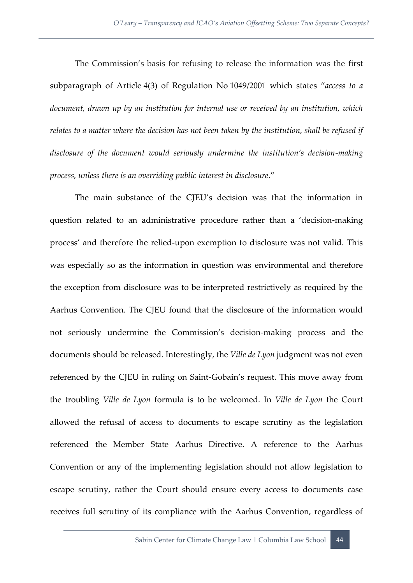The Commission's basis for refusing to release the information was the first subparagraph of Article 4(3) of Regulation No 1049/2001 which states "*access to a document, drawn up by an institution for internal use or received by an institution, which relates to a matter where the decision has not been taken by the institution, shall be refused if disclosure of the document would seriously undermine the institution's decision-making process, unless there is an overriding public interest in disclosure*."

The main substance of the CJEU's decision was that the information in question related to an administrative procedure rather than a 'decision-making process' and therefore the relied-upon exemption to disclosure was not valid. This was especially so as the information in question was environmental and therefore the exception from disclosure was to be interpreted restrictively as required by the Aarhus Convention. The CJEU found that the disclosure of the information would not seriously undermine the Commission's decision-making process and the documents should be released. Interestingly, the *Ville de Lyon* judgment was not even referenced by the CJEU in ruling on Saint-Gobain's request. This move away from the troubling *Ville de Lyon* formula is to be welcomed. In *Ville de Lyon* the Court allowed the refusal of access to documents to escape scrutiny as the legislation referenced the Member State Aarhus Directive. A reference to the Aarhus Convention or any of the implementing legislation should not allow legislation to escape scrutiny, rather the Court should ensure every access to documents case receives full scrutiny of its compliance with the Aarhus Convention, regardless of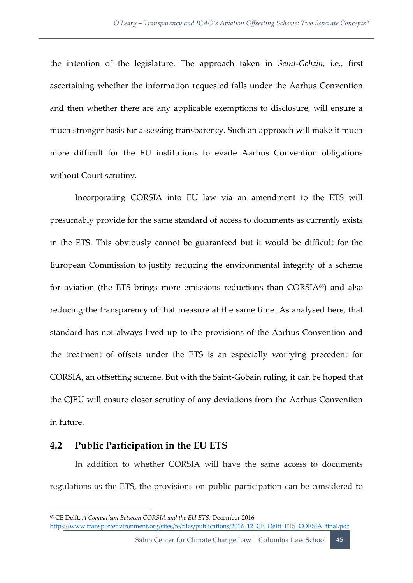the intention of the legislature. The approach taken in *Saint-Gobain*, i.e., first ascertaining whether the information requested falls under the Aarhus Convention and then whether there are any applicable exemptions to disclosure, will ensure a much stronger basis for assessing transparency. Such an approach will make it much more difficult for the EU institutions to evade Aarhus Convention obligations without Court scrutiny.

Incorporating CORSIA into EU law via an amendment to the ETS will presumably provide for the same standard of access to documents as currently exists in the ETS. This obviously cannot be guaranteed but it would be difficult for the European Commission to justify reducing the environmental integrity of a scheme for aviation (the ETS brings more emissions reductions than CORSIA<sup>85</sup>) and also reducing the transparency of that measure at the same time. As analysed here, that standard has not always lived up to the provisions of the Aarhus Convention and the treatment of offsets under the ETS is an especially worrying precedent for CORSIA, an offsetting scheme. But with the Saint-Gobain ruling, it can be hoped that the CJEU will ensure closer scrutiny of any deviations from the Aarhus Convention in future.

#### <span id="page-53-0"></span>**4.2 Public Participation in the EU ETS**

1

In addition to whether CORSIA will have the same access to documents regulations as the ETS, the provisions on public participation can be considered to

Sabin Center for Climate Change Law | Columbia Law School | 45

<sup>85</sup> CE Delft, *A Comparison Between CORSIA and the EU ETS*, December 2016 [https://www.transportenvironment.org/sites/te/files/publications/2016\\_12\\_CE\\_Delft\\_ETS\\_CORSIA\\_final.pdf](https://www.transportenvironment.org/sites/te/files/publications/2016_12_CE_Delft_ETS_CORSIA_final.pdf)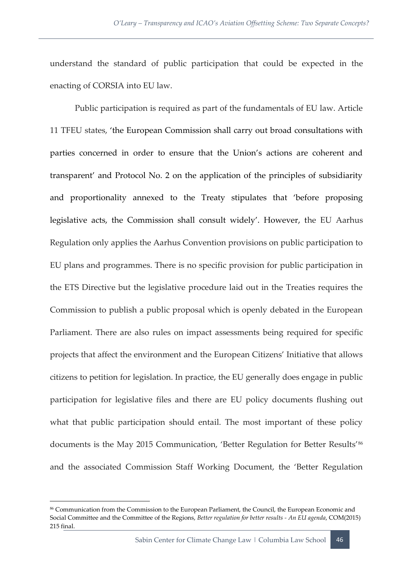understand the standard of public participation that could be expected in the enacting of CORSIA into EU law.

Public participation is required as part of the fundamentals of EU law. Article 11 TFEU states, 'the European Commission shall carry out broad consultations with parties concerned in order to ensure that the Union's actions are coherent and transparent' and Protocol No. 2 on the application of the principles of subsidiarity and proportionality annexed to the Treaty stipulates that 'before proposing legislative acts, the Commission shall consult widely'. However, the EU Aarhus Regulation only applies the Aarhus Convention provisions on public participation to EU plans and programmes. There is no specific provision for public participation in the ETS Directive but the legislative procedure laid out in the Treaties requires the Commission to publish a public proposal which is openly debated in the European Parliament. There are also rules on impact assessments being required for specific projects that affect the environment and the European Citizens' Initiative that allows citizens to petition for legislation. In practice, the EU generally does engage in public participation for legislative files and there are EU policy documents flushing out what that public participation should entail. The most important of these policy documents is the May 2015 Communication, 'Better Regulation for Better Results'<sup>86</sup> and the associated Commission Staff Working Document, the 'Better Regulation

<sup>86</sup> Communication from the Commission to the European Parliament, the Council, the European Economic and Social Committee and the Committee of the Regions, *Better regulation for better results - An EU agenda*, COM(2015) 215 final.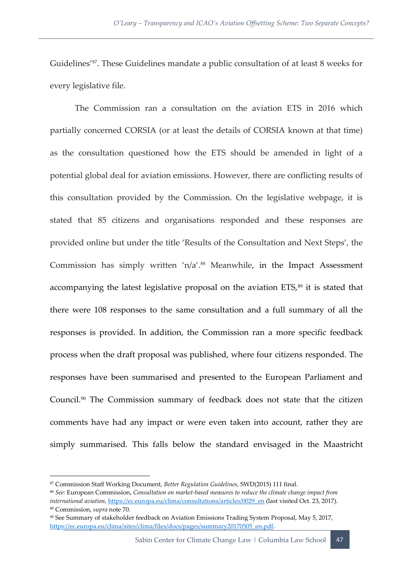Guidelines'87. These Guidelines mandate a public consultation of at least 8 weeks for every legislative file.

The Commission ran a consultation on the aviation ETS in 2016 which partially concerned CORSIA (or at least the details of CORSIA known at that time) as the consultation questioned how the ETS should be amended in light of a potential global deal for aviation emissions. However, there are conflicting results of this consultation provided by the Commission. On the legislative webpage, it is stated that 85 citizens and organisations responded and these responses are provided online but under the title 'Results of the Consultation and Next Steps', the Commission has simply written 'n/a'.<sup>88</sup> Meanwhile, in the Impact Assessment accompanying the latest legislative proposal on the aviation ETS,<sup>89</sup> it is stated that there were 108 responses to the same consultation and a full summary of all the responses is provided. In addition, the Commission ran a more specific feedback process when the draft proposal was published, where four citizens responded. The responses have been summarised and presented to the European Parliament and Council.<sup>90</sup> The Commission summary of feedback does not state that the citizen comments have had any impact or were even taken into account, rather they are simply summarised. This falls below the standard envisaged in the Maastricht

 $\overline{a}$ 

<sup>87</sup> Commission Staff Working Document, *Better Regulation Guidelines*, SWD(2015) 111 final.

<sup>88</sup> *See:* European Commission, *Consultation on market-based measures to reduce the climate change impact from international aviation*[, https://ec.europa.eu/clima/consultations/articles/0029\\_en](https://ec.europa.eu/clima/consultations/articles/0029_en) (last visited Oct. 23, 2017). <sup>89</sup> Commission, *supra* note 70.

<sup>90</sup> See Summary of stakeholder feedback on Aviation Emissions Trading System Proposal, May 5, 2017, [https://ec.europa.eu/clima/sites/clima/files/docs/pages/summary20170505\\_en.pdf.](https://ec.europa.eu/clima/sites/clima/files/docs/pages/summary20170505_en.pdf)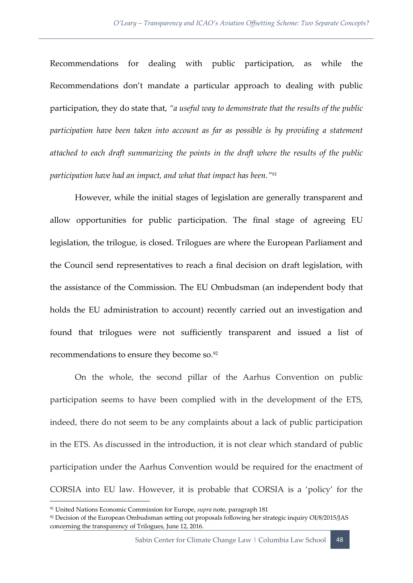Recommendations for dealing with public participation, as while the Recommendations don't mandate a particular approach to dealing with public participation, they do state that, *"a useful way to demonstrate that the results of the public participation have been taken into account as far as possible is by providing a statement attached to each draft summarizing the points in the draft where the results of the public participation have had an impact, and what that impact has been."<sup>91</sup>*

However, while the initial stages of legislation are generally transparent and allow opportunities for public participation. The final stage of agreeing EU legislation, the trilogue, is closed. Trilogues are where the European Parliament and the Council send representatives to reach a final decision on draft legislation, with the assistance of the Commission. The EU Ombudsman (an independent body that holds the EU administration to account) recently carried out an investigation and found that trilogues were not sufficiently transparent and issued a list of recommendations to ensure they become so.<sup>92</sup>

On the whole, the second pillar of the Aarhus Convention on public participation seems to have been complied with in the development of the ETS, indeed, there do not seem to be any complaints about a lack of public participation in the ETS. As discussed in the introduction, it is not clear which standard of public participation under the Aarhus Convention would be required for the enactment of CORSIA into EU law. However, it is probable that CORSIA is a 'policy' for the

<sup>91</sup> United Nations Economic Commission for Europe, *supra* note, paragraph 181

<sup>92</sup> Decision of the European Ombudsman setting out proposals following her strategic inquiry OI/8/2015/JAS concerning the transparency of Trilogues, June 12, 2016.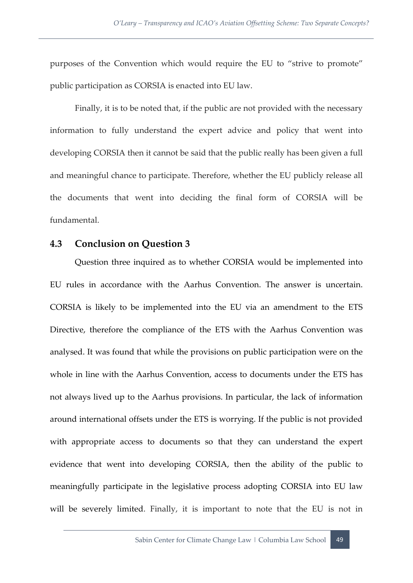purposes of the Convention which would require the EU to "strive to promote" public participation as CORSIA is enacted into EU law.

Finally, it is to be noted that, if the public are not provided with the necessary information to fully understand the expert advice and policy that went into developing CORSIA then it cannot be said that the public really has been given a full and meaningful chance to participate. Therefore, whether the EU publicly release all the documents that went into deciding the final form of CORSIA will be fundamental.

#### <span id="page-57-0"></span>**4.3 Conclusion on Question 3**

Question three inquired as to whether CORSIA would be implemented into EU rules in accordance with the Aarhus Convention. The answer is uncertain. CORSIA is likely to be implemented into the EU via an amendment to the ETS Directive, therefore the compliance of the ETS with the Aarhus Convention was analysed. It was found that while the provisions on public participation were on the whole in line with the Aarhus Convention, access to documents under the ETS has not always lived up to the Aarhus provisions. In particular, the lack of information around international offsets under the ETS is worrying. If the public is not provided with appropriate access to documents so that they can understand the expert evidence that went into developing CORSIA, then the ability of the public to meaningfully participate in the legislative process adopting CORSIA into EU law will be severely limited. Finally, it is important to note that the EU is not in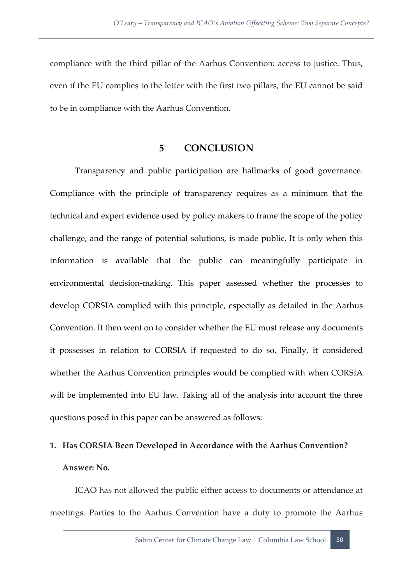compliance with the third pillar of the Aarhus Convention: access to justice. Thus, even if the EU complies to the letter with the first two pillars, the EU cannot be said to be in compliance with the Aarhus Convention.

#### **5 CONCLUSION**

<span id="page-58-0"></span>Transparency and public participation are hallmarks of good governance. Compliance with the principle of transparency requires as a minimum that the technical and expert evidence used by policy makers to frame the scope of the policy challenge, and the range of potential solutions, is made public. It is only when this information is available that the public can meaningfully participate in environmental decision-making. This paper assessed whether the processes to develop CORSIA complied with this principle, especially as detailed in the Aarhus Convention. It then went on to consider whether the EU must release any documents it possesses in relation to CORSIA if requested to do so. Finally, it considered whether the Aarhus Convention principles would be complied with when CORSIA will be implemented into EU law. Taking all of the analysis into account the three questions posed in this paper can be answered as follows:

## **1. Has CORSIA Been Developed in Accordance with the Aarhus Convention? Answer: No.**

ICAO has not allowed the public either access to documents or attendance at meetings. Parties to the Aarhus Convention have a duty to promote the Aarhus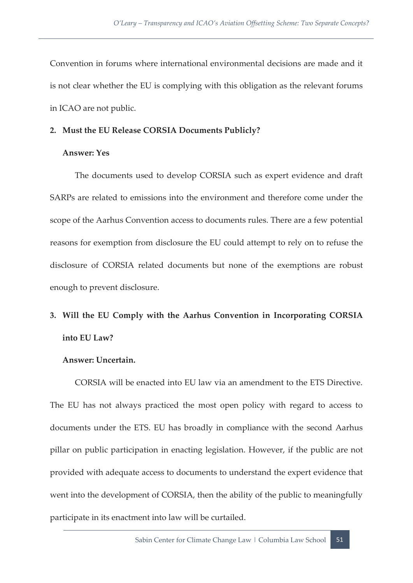Convention in forums where international environmental decisions are made and it is not clear whether the EU is complying with this obligation as the relevant forums in ICAO are not public.

#### **2. Must the EU Release CORSIA Documents Publicly?**

#### **Answer: Yes**

The documents used to develop CORSIA such as expert evidence and draft SARPs are related to emissions into the environment and therefore come under the scope of the Aarhus Convention access to documents rules. There are a few potential reasons for exemption from disclosure the EU could attempt to rely on to refuse the disclosure of CORSIA related documents but none of the exemptions are robust enough to prevent disclosure.

## **3. Will the EU Comply with the Aarhus Convention in Incorporating CORSIA into EU Law?**

#### **Answer: Uncertain.**

CORSIA will be enacted into EU law via an amendment to the ETS Directive. The EU has not always practiced the most open policy with regard to access to documents under the ETS. EU has broadly in compliance with the second Aarhus pillar on public participation in enacting legislation. However, if the public are not provided with adequate access to documents to understand the expert evidence that went into the development of CORSIA, then the ability of the public to meaningfully participate in its enactment into law will be curtailed.